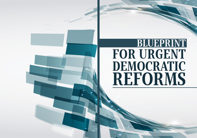# BLUEPRINT FOR URGENT DEMOCRATIC REFORMS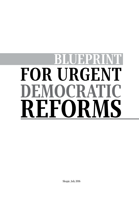# **FOR URGENT** EMOCRAT **FIC** EFORMS

Skopje, July 2016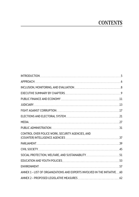# **CONTENTS**

| INTRODUCTION                                                              |     |
|---------------------------------------------------------------------------|-----|
|                                                                           |     |
|                                                                           |     |
|                                                                           |     |
| PUBLIC FINANCE AND ECONOMY <b>CONOMY</b> 2008 2012 21                     |     |
| JUDICIARY 13                                                              |     |
| FIGHT AGAINST CORRUPTION                                                  | 17  |
| ELECTIONS AND ELECTORAL SYSTEM                                            |     |
|                                                                           | 27  |
|                                                                           | 31  |
| CONTROL OVER POLICE WORK, SECURITY AGENCIES, AND                          | 37  |
|                                                                           | 39  |
|                                                                           | .45 |
| SOCIAL PROTECTION, WELFARE, AND SUSTAINABILITY MARKET MARKET MARKET 51    |     |
|                                                                           |     |
|                                                                           |     |
| ANNEX 1 - LIST OF ORGANIZATIONS AND EXPERTS INVOLVED IN THE INITIATIVE 60 |     |
|                                                                           |     |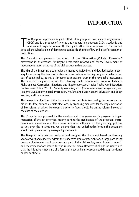T his Blueprint represents a joint effort of a group of civil society organizations (CSOs) and is a product of synergy and cooperation between CSOs, academia and independent experts (Annex 1). This joint effort is a response to the current political crisis, backsliding of democratic standards, the rule of law and loss of credibility of institutions.

The Blueprint complements the efforts of the "#Protestiram/Colorful Revolution" movement in its demands for urgent democratic reforms and for the involvement of independent representatives of the civil society in that process.

The **aim** of the Blueprint is to provide an incentive, guidelines and detailed actions necessary for restoring the democratic standards and values, achieving progress in selected areas of public policy, as well as bringing back citizens' trust in the key public institutions. The selected policy areas on are the following: Public Finance and Economy; Judiciary; Fight against Corruption; Elections and Electoral system, Media; Public Administration; Control over Police Work, Security Agencies, and (Counter)Intelligence Agencies; Parliament; Civil Society; Social Protection, Welfare, and Sustainability; Education and Youth Policies; and Environment.

The **immediate objective** of the document is to contribute to creating the necessary conditions for free, fair and credible elections, by proposing measures for the implementation of key reform priorities. However, the priority focus should be on the reforms instead of the date of the elections.

This Blueprint is a proposal for the development of a government's program for implementation of the key priorities. Having in mind the significance of the proposed instruments and measures and the current enrooted influence of the governing political parties over the institutions, we believe that the underlined reforms in this document should be implemented by an **expert government**.

The Blueprint initiative has produced and designed this document based on the many years of work and expertise within the respective areas of intervention. A large part of the proposed instruments and measures are part of the civil society commitments, reports, and recommendations issued for the respective areas. However, it should be underlined that the initiative is not part of a formal project and it is not supported through any funds and/or contracts.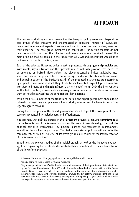The process of drafting and endorsement of the Blueprint policy areas went beyond the core group of this initiative and encompassed an additional number of CSOs, academia, and independent experts. They were included in the respective chapters, based on their expertise. The core group members and contributors for certain chapters do not bear responsibility for the other chapters and recommendations contained therein.<sup>1</sup> This main principle shall be applied in the future with all CSOs and experts that would like to be involved in specific chapters/areas.

Each of the selected Blueprint policy areas<sup>2</sup> is presented through **general principles** and **instruments**, **key institutions** and their possible role, as well as **legislation** that needs to be amended or drafted. Nevertheless, the blueprint contains limited legislative measures and keeps the primary focus on restoring the democratic standards and values and de-politicization of the institutions. All of the proposed instruments are determined by a specific time frame in which they should be implemented: **urgent (up to 3 months)**, **short** (up to 6 months) and **medium** (more than 6 months) term. Only the interventions in the last chapter (Environment) are envisaged as actions after the elections because they do not directly address the conditions for fair elections.

Within the first 1-3 months of the transitional period, the expert government should focus primarily on assessing and planning all key priority reforms and implementation of the urgently agreed measures.

During the entire process, the expert government should respect the **principles** of transparency, accountability, inclusiveness, and effectiveness.

It is essential that political parties in the **Parliament** provide a genuine **commitment** to the implementation of the key reform priorities. This commitment should go beyond the political parties in Parliament – by political parties not represented in Parliament, as well as the civil society at large. The Parliament's strong political will and effective commitment, as well as exercise of its oversight role are crucial for the implementation of the key reform priorities.<sup>3</sup>

In addition, the relevant bodies of the judicial branch, as well as the independent, oversight and regulatory bodies should demonstrate their commitment to the implementation of the key reform priorities.

6

<sup>&</sup>lt;sup>1</sup> If the contributors had diverging opinions on an issue, this is noted in the text.

<sup>&</sup>lt;sup>2</sup> Annex 2 contains the proposed legislative measures.

<sup>&</sup>lt;sup>3</sup> "Key reform priorities" identified in this document address some of the Urgent Reform Priorities issued by the European Commission in June 2015, which were based on the Recommendations of the Senior Experts' Group on systemic Rule of Law issues relating to the communications interception revealed in Spring 2015 (known as the "Priebe Report"). However, the key reform priorities identified in this document take into account the evolving developments during the past year and are elaborated in more specific measures in the areas where the contributors have specific expertise.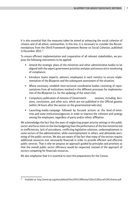It is also essential that the measures taken be aimed at enhancing the social cohesion of citizens and of all ethnic communities. In this line, it is necessary to consider the Recommendations from the Ohrid Framework Agreement Review on Social Cohesion, published in December 2015. <sup>4</sup>

To ensure efficient implementation and cooperation of all relevant stakeholders, we propose the following instruments to be applied:

- Amend the strategic plans of the ministries and other administrative bodies to be aligned with the expert government priorities and plan and ensure strict monitoring of compliance;
- Introduce teams (experts, advisors, employees) in each ministry to secure implementation of the Blueprint and the subsequent assessment of the situation;
- Where necessary, establish inter-sectorial coordinative bodies consisting of representatives from all institutions involved in the different processes for implementation of the Blueprint (i.e. for the updating of the voters list);
- Compulsory publication of minutes of Government sessions, including decisions, conclusions, and other acts, which are not published in the Official gazette (within 24 hours after the session on the governmental web-site);
- Launching media campaign followed by focused actions at the level of ministries and state institutions/agencies in order to improve the cohesion and synergy among the employees, regardless of party and/or ethnic affiliation.

We acknowledge the fact that the years of neglecting proper priority settings in the public sector and focus more on the line budgeting than the performance of the line ministries led to inefficiencies, lack of procedures, conflicting legislative solutions, underemployment in some sectors of the administration, while overemployment in others, and ultimately worsening of the public services. We also are aware of the fact that many of the sectors require additional resources (not necessarily financial) in order to provide efficient and effective public services. That is why we propose an approach guided by principles and priorities so that the overall public sector efficiency would be respected, instead of the approach of sectors competing for financials resources.

We also emphasise that it is essential to start the preparations for the Census.

<sup>4</sup> Available at: http://www.eip.org/sites/default/files/OFA%20Review%20on%20Social%20Cohesion.pdf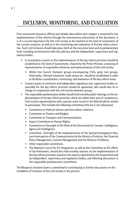# INCLUSION, MONITORING, AND EVALUATION

Prior assessment based on official and reliable data within each chapter is essential for the implementation of the reforms through the interventions and actions of this document. It is of a crucial importance for the civil society to be involved at the level of assessment of the current situation, as well as in the monitoring and evaluation of the key reform priorities. Such civil inclusion should take place both at the executive level and at parliamentary level, including an interaction with the judiciary and the independent, supervisory and regulatory bodies.

- A consultative council on the implementation of the key reform priorities should be established at the level of Government, chaired by the Prime Minister, consisting of representatives of responsible ministries and representatives of the civil society
	- Within the Council, thematic groups encompassing CSOs, grass root groups, think-tanks, informal initiatives, trade unions etc. should be established in order to facilitate consultations, monitoring, and evaluation of the key reform areas.
- Contact points in ministries and independent regulatory and supervisory bodies responsible for the key reform priorities should be appointed, who would also be in charge of cooperation with the civil society thematic groups.
- The responsible parliamentary bodies should hold monthly public hearings on the implementation of the key reform priorities, which are within their area of competence. Civil society representatives with a proven track record in the field should be invited to participate. This includes the following committees (the list is not exhaustive):
	- Committee on Political System and inter-ethnic relations;
	- Committee on Finance and Budget;
	- Committee on Transport and Communications;
	- Inquiry Committee on Human Rights;
	- Committee on Oversight of the Work of the Directorate for Counter- Intelligence, Agency for Intelligence;
	- Committee Oversight of the Implementation of the Special Investigation Measure Interception of the Communication by the Ministry of Interior, the Financial Police Management, Customs Management and the Ministry of Defense;
	- Other responsible committees.
	- The National Council for EU integration, as well as the Committee on EU affairs of the Parliament, should also hold monthly sessions on the implementation of the key reform priorities, based on the reports submitted by the Government and by independent, supervisory and regulatory bodies, and following discussions in the responsible parliamentary committees.

The Blueprint initiative team is committed to contributing to further discussions on the modalities of inclusion of the civil society in the process.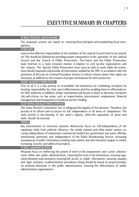#### **PUBLIC FINANCE AND ECONOMY:**

The proposed actions are based on restoring fiscal discipline and establishing fiscal transparency.

#### **JUDICIARY:**

Laws on the effective responsibility of the members of the Judicial Council need to be amended. This should be followed by providing proper transparency in the operation of the Judicial Council and the Council of Public Prosecutors. The Courts and the Public Prosecution must function in a more inclusive manner in relation to civil society organizations and the citizens. The Special Public Prosecution must carry on with its work, while the institutions should cooperate and provide all information needed by the SPP, in accordance with the provisions of the Law on Criminal Procedure. Actions to inform citizens about their rights are necessary, as addition to the creation of proper mechanisms for their protection.

#### **FIGHT AGAINST CORRUPTION:**

First of all it is a key priority to re-establish the institutions for combating corruption by locating responsibility for their past ineffectiveness and thus enabling them to effectively exert their authority. In addition, proper mechanisms will be put in place to decrease corruption risk, with a focus on key areas, such as inspectorates, procurement, employment, financial management and transparency of political parties' funding.

#### **ELECTIONS AND ELECTORAL SYSTEM:**

The State Election Commission has to safeguard the legality of the elections. Therefore, the process of its reform aims to secure its full independence in all areas of competence. The main priority is the cleaning of the voter's registry, while the separation of party and state should be ensured.

#### **MEDIA:**

Key interventions to overcome systemic deficiencies focus on: full independence of the regulatory body from political influence, the media industry and other power centers; securing independence of mainstream commercial media from government and party officials; institutional autonomy and independence of the Public Broadcasting Service, increasing transparency of public institutions, avoiding hate speech and discriminatory langue in media, increasing security and safety of journalists.

#### **PUBLIC ADMINISTRATION:**

Measures focus on reinforcing the system of merit in the employment and career advancement within the public administration; restoring the trust in the institutions; ensuring separation between state and party; ensuring full access to public information; ensuring equality and legal certainty in administrative procedures; fining should be based on proportionality; no arbitrary dismissals in the public administration; ensuring the effectiveness of public administration organizations.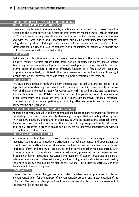#### **CONTROL OVER POLICE WORK, SECURITY AGENCIES, AND (COUNTER) INTELLIGENCE AGENCIES:**

The main principles are: to ensure credible, effective and external civic control over the police forces and the Secret service; the future external oversight mechanism will include members of CSOs, academia, public prosecution offices, and retired police officers on equal footings and with the same duties and responsibilities; introducing Community Policing; strengthening the composition of the parliamentary committees competent for oversight of the Directorate for Security and Counterintelligence and the Ministry of Interior with experts and civil society representatives on equal footing.

#### **PARLIAMENT:**

Parliament must function in a more transparent manner towards the public and in a more inclusive manner towards stakeholders from various sectors. Parliament should amend its existing procedures of law adoption and must develop a practice of respect for its own internal Rules of procedure in order to effectively function as a forum where regulatory proposals are effectively scrutinized. The strengthening and proper functioning of oversight mechanisms on the government should result in a more accountable government.

#### **CIVIL SOCIETY:**

The civic participation in both the policy-creation and the political process needs to be improved with: establishing transparent public funding of the civil society; a substantial review of the Governmental Strategy for Cooperation with the Civil Society and its operative documents (Decisions and Rulebooks) and structures (Cooperation Council); empowering direct democracy and grass-root civic initiatives through incentives for local referenda, civic legislative initiatives and petitions; establishing effective consultative mechanism for policy-making and legislation.

#### **SOCIAL PROTECTION, WELFARE, AND USTAINABILITY:**

Addressing poverty, inequality and environmental challenges require reviewing the failures of the existing system and commitment to developing strategies that adequately address poverty, inequality, pollution, ethnic and/or other issues with an intersectional approach. Immediate action needs to be focused on "on the spot" monitoring over procedures for allocation of all social transfers in order to ensure social services are delivered impartially and without obstructions according to law.

#### **EDUCATION AND YOUTH POLICIES:**

Revision of education laws that provide for withdrawal of external testing and fines for teachers, students and parents, democratization of school governance and appointment of school directors and teachers; withdrawing of the Law on Teachers Academy, curricula and textbooks reform and reform of pre-service and in-service teacher training; introduction of integral approach to quality assurance in education; preventing further expansion and dispersion of higher education institutions; improvement of student organizing and participation in secondary and higher education; new Law on higher education to be developed by the entire academic community; revision of the National Youth Strategy 2016-2025 prior to development of any action plans.

#### **ENVIRONMENT:**

The focus is the systemic changes needed in order to enable the appropriate use of collected environmental taxes, for the purpose of environmental protection and implementation of the EU acquis. The proposed changes will result in environmental protection and improvement of the quality of life in Macedonia.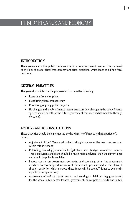# PUBLIC FINANCE AND ECONOMY

# INTRODUCTION

There are concerns that public funds are used in a non-transparent manner. This is a result of the lack of proper fiscal transparency and fiscal discipline, which leads to ad-hoc fiscal decisions.

# GENERAL PRINCIPLES

The general principles for the proposed actions are the following:

- Restoring fiscal discipline;
- **Establishing fiscal transparency;**
- **Prioritizing ongoing public projects;**
- No changes in the public finance system structure (any changes in the public finance system should be left for the future government that received its mandate through elections).

# ACTIONS AND KEY INSTITUTIONS

These activities should be implemented by the Ministry of Finance within a period of 3 months.

- Adjustment of the 2016 annual budget, taking into account the measures proposed within this document;
- Publishing bi-weekly (or monthly) budget plans and budget execution reports. These executions and plans should be much more analytical than the current ones and should be publicly available;
- **IMPOSE CONTROL ON GOVERTHERT CONTROL SHOW** and spending. When the government needs to borrow or spend in excess of the amounts pre-specified in the plans, it should specify for which purpose these funds will be spent. This has to be done in a publicly transparent way;
- Assessment of VAT and other arrears and contingent liabilities (e.g. guarantees) for the whole public sector (central government, municipalities, funds and public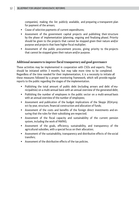companies), making the list publicly available, and preparing a transparent plan for payment of the arrears;

- Cease of selective payments of current expenditures;
- Assessment of the government capital projects and publishing their structure by the phase of implementation (planning, ongoing and finalizing phase). Priority should be given to the projects that cannot be stopped given their nature and/or purpose and projects that have higher fiscal multiplier;
- Assessment of the public procurement process, giving priority to the projects that cannot be stopped given their nature and/or purpose.

#### **Additional measures to improve fiscal transparency and good governance**

These activities may be implemented in cooperation with CSOs and experts. They should be initiated within 3 months, but may take more time to be completed. Regardless of the time needed for their implementation, it is a necessity to initiate all these measures followed by a proper monitoring framework, which will provide regular reports to the public regarding the stages of the implementation.

- Publishing the total amount of public debt (including arrears and debt of municipalities) on a multi-annual basis with an annual overview of the generated debt;
- Publishing the number of employees in the public sector on a multi-annual basis with an annual overview of the number of employees;
- Assessment and publication of the budget implications of the Skopje 2014 project by year, structure, financial construction and allocation of funds;
- Assessment of the costs and benefits of the foreign direct investments and ensuring that the rules for their subsidizing are respected;
- Assessment of the fiscal capacity and sustainability of the current pension system, including the work of MAPAS;
- Assessment of the goals, efficiency, sustainability, and transparency of the agricultural subsidies, with a special focus on their allocation;
- Assessment of the sustainability, transparency and distributive effects of the social transfers;
- Assessment of the distributive effects of the tax policies.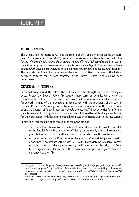# JUDICIARY

# INTRODUCTION

The Urgent Reform Priorities (URP) in the sphere of the Judiciary, proposed by the European Commission in June 2015<sup>5</sup>, were not consistently implemented. As a substitute for the reforms only 'soft, reform-like wrapping' is being offered, which provides the form, but not the substance of the reforms as well. What is implemented are only partial, more or less technical details, which have limited influence on the expected independent and professional attitude."<sup>6</sup> This was also confirmed by the review of the specific priorities in the area of the Judiciary, which indicated that actions contrary to the Urgent Reform Priorities have been undertaken<sup>7</sup> .

# GENERAL PRINCIPLES

In the following period, the role of the Judiciary must be strengthened in several key aspects. Firstly, the Special Public Prosecution must carry on with its work, while the relevant state bodies must cooperate and provide all information and evidence required for smooth running of the procedure, in accordance with the provisions of the Law on Criminal Procedure. Secondly, proper transparency in the operation of the Judicial Council and the Council of Public Prosecutors should be ensured. Thirdly, activities for informing the citizens about their rights should be undertaken, followed by establishing a mechanism for their protection, with the aim to gradually reinstall the citizens' trust in the institutions.

Specifically, this could be done through the following actions:

- The Law on Protection of Witnesses should be amended in order to provide a mandate to the Special Public Prosecution to efficiently and smoothly use the instrument of protected witness in the cases that are within the jurisdiction of this institution;
- A special unit within the Directorate for Security and Counterintelligence should be established (in accordance with Articles 22-31 of the Law on Internal Affairs) with access to all the resources and equipment used by the Directorate for Security and Counterintelligence in order to meet the requirements for pre-investigative measures demanded by the SPP.

<sup>&</sup>lt;sup>5</sup> http://ec.europa.eu/enlargement/news\_corner/news/news-files/20150619\_urgent\_reform\_priorities.pdf

Institute for European Policy, The Urgent Reform Priorities slower than the reinstalling of the non- reformation practices! Available at: http://epi.org.mk/docs/Realizacija%20na%20Itnite%20reformski%20 prioriteti.pdf.

 $7$  Macedonia – EU Resource Center (MERC 23), The status of the realization of the Urgent Reform Priorities. Available at: http://www.merc.org.mk/status-na-realizacija-na-itni-reformski-prioriteti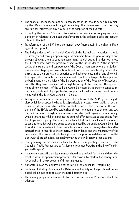- The financial independence and sustainability of the SPP should be secured by making the SPP an independent budget beneficiary. The Government should not play any role nor intervene in any way during the adoption of the budget;
- Extending the current 18-months to a 24-months deadline for lodging an the indictment in relation to the cases transferred from the ordinary public prosecution offices to the SPP;
- **Transformation of the SPP into a permanent body (more details in the chapter Fight** against Corruption).
- The independence of the Judicial Council of the Republic of Macedonia should be strengthened through appointing new members from the pool of judges and through allowing them to continue performing judicial duties, in order not to lose the direct contact with the practical aspects of the jurisprudence. With the aim to secure the expertise and competence of the Council members who are not judges, it is necessary to propose an additional condition for their membership, which shall be related to their professional experience and achievements in their line of work. In this regard, it is desirable for the members who used to be lawyers to be appointed by Parliament, on the advice of the Bar Association of the Republic of Macedonia, and after they have been elected through ballot by all the members. The appointment of new members of the Judicial Council is necessary in order to conduct impartial appointment of judges to the newly- established specialized court department within the Basic Court Skopje I – Skopje;
- Taking into consideration the apparent obstructions of the SPP by the the judiciary which is corrupted by the political parties, it is necessary to establish a specialized court department which will be entitled to process the cases within the jurisdiction of the SPP. It could be established through amendments to the existing Law on the Courts, or through a new separate law which will regulate its functioning, while his mandate will be to process the criminal offenes related to and arising from the illegal wire-tapping. The newly- established Judicial Council should announce vacancies for judges who are going to be appointed by the Judicial Council in order to work in this department. The criteria for appointment of these judges should be strengthened in regards to the integrity, independence and the impartiality of the candidates. This process should be supported by a prior wide debate and consultations with all stakeholders, especially involving the civil society organizations;
- Strengthening the already established criteria for appointing members to the Council of Public Prosecutors by Parliament (four members) from the line of "distinguished lawyers";
- Independent and efficient legal remedy should be provided for the candidates dissatisfied with the appointment procedure, for those subjected to disciplinary liability, as well as in the procedure of dismissing judges;
- A moratorium on the application of the Law on the Council for Determining
- Facts and Initiating Procedure for Determining Liability of Judges should be imposed, taking into consideration the noted deficiencies;
- The already prepared amendments to the Law on Criminal Procedure should be adopted;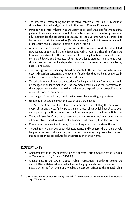- The process of establishing the investigative centers of the Public Prosecution should begin immediately, according to the Law on Criminal Procedure;
- Persons who consider themselves the victim of political trials and for whom a final judgment has been delivered should be able to lodge the extraordinary legal remedy "Request for the protection of legality" to the Supreme Court, as prescribed by the Law on Criminal Procedure (Articles 457-462). The Public Prosecutor should process such requests to the Supreme Court ex officio.
- At least 5 of the 9 vacant judge positions in the Supreme Court should be filled. New judges, appointed by the independent Judicial Council, should reinforce the Criminal Department of the Supreme Court. The fully functional Criminal Department shall decide on all requests submitted by alleged victims. The Supreme Court should take into account independent opinions by representatives of academia/ experts and CSOs.
- The strategy for the Judiciary should be adopted after a broad consultation and expert discussion concerning the novelties/modalities that are being suggested in order to resolve some key issues in the Judiciary;
- The criteria for enrollment at the Academy for Judges and Public Prosecutors should be changed, in order to make the Academy more accessible and more attractive for the prospective candidates, as well as to decrease the possibility of any political and other influence in this process;
- The budget of the Judiciary should be increased, by allocating appropriate
- **F** resources, in accordance with the Law on Judiciary Budget;
- The Supreme Court must accelerate the procedure for installing the database of court rulings and should find ways to transfer those rulings which have already been made public by the Basic Courts and the Courts of Appeal to the Central Database;
- The Administrative Court should start making meritorious decisions, by which the administrative procedures will be shortened and citizens' rights will be protected;
- Cooperation between institutions, CSOs, and experts should be strengthened.
- Through jointly organized public debates, events and brochures the citizens should be granted access to all necessary information concerning the possibilities for instigating appropriate procedures for the protection of their rights.

# INSTRUMENTS

- Amendments to the Law on Protection of Witnesses (Official Gazette of the Republic of Macedonia no. 38/2005 and 58/2005);
- **E** Amendments to the Law on Special Public Prosecution<sup>8</sup> in order to extend the current 18-month to a 24-month deadline for lodging an indictment in relation to the cases transferred from the ordinary public prosecution offices to the Special Public

<sup>8</sup> Law on Public Prosecution for Persecuting Criminal Offences Related to and Arising from the Content of the Illegal Wiretapping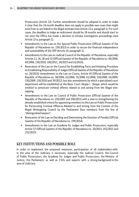Prosecution (Article 22). Further amendments should be adopted in order to make it clear that the 24-month deadline does not apply to possible new cases that might arise from or are linked to the illegal wiretaps (new Article 22-a, paragraph 1). For such cases, the deadline to lodge an indictment should be 18 months and should start to run once the Office has made a decision to initiate investigative proceedings (new Article 22-a, paragraph 2);

- Amendments to the Law on the Special Public Prosecution (Official Gazette of the Republic of Macedonia no. 159/2015) in order to secure the financial independence and sustainability of the SPP (Article 16, paragraph 1);
- Amendments to the Law on Judicial Council of the Republic of Macedonia, especially Articles 11, 26, 28 and 32 (Official Gazette of the Republic of Macedonia no. 60/2006, 69/2006, 150/2010, 100/2011, 20/2015 and 61/2015);
- Revocation of the Law on the Council for Establishing Facts and Initiating Procedure on Establishing Responsibility of Judges (Official Gazette of the Republic of Macedonia no. 20/2015); Amendments to the Law on Courts, Article 45 (Official Gazette of the Republic of Macedonia no. 58/2006, 62/2006, 35/2008, 61/2008, 118/2008, 16/2009, 150/2009, 150/2010 and 39/2012), but also amendments by which a specialized court department will be established at the Basic Court Skopje I - Skopje, which would be entitled to persecute criminal offenes related to and arising from the illegal wiretapping;
- Amendments to the Law on Council of Public Prosecutors (Official Gazette of the Republic of Macedonia no. 150/2007 and 100/2011) with a view to strengthening the already established criteria for appointing members to this Law on Public Prosecution for Persecuting Criminal Offences Related to and Arising from the Content of the Illegal Wiretapping Council by the Parliament (four members) from the line of "distinguished lawyers";
- **EXECT** Revocation of the Law on Deciding and Determining the Duration of Penalty (Official Gazette of the Republic of Macedonia no. 199/2014);
- Amendments to the Law on Academy for Judges and Public Prosecutors, especially Article 57 (Official Gazette of the Republic of Macedonia no. 20/2015, 192/2015 and 231/2015).

## KEY INSTITUTIONS AND POSSIBLE ROLE

In order to implement the proposed measures, participation of all stakeholders within the area of the Judiciary is necessary, especially the Judicial Council, the Council of Public Prosecutors, the Academy for Judges and Public Prosecutors, the Ministry of Justice, the Parliament, as well as CSOs and experts with a strong background in the area of Judiciary.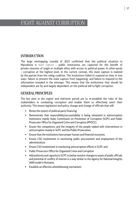# FIGHT AGAINST CORRUPTION

# INTRODUCTION

The large wiretapping scandal of 2015 confirmed that the political situation in Macedonia is state capture - public institutions are captured for the benefit of private interests of single or multiple elites with access to political power. In other words – corruption at the highest level. In the current context, this state capture is realized by the parties from the ruling coalition. The institutions failed to respond on time in two ways: failure to prevent the state capture from happening, and failure to respond to the information revealed in the wiretaps. This means that the institutions that should be independent are by and largely dependent on the political will to fight corruption.

# GENERAL PRINCIPLES

The key aims in the urgent and mid-term period are to re-establish the roles of the stakeholders in combating corruption and enable them to effectively exert their authority. This means legislation and policy change and change of officials that will:

- Revise the system of political party financing;
- Demonstrate that responsibility/accountability is being reinstated in anticorruption institutions mainly State Commission on Prevention of Corruption (SCPC) and Public Prosecutor Office for Organised Crime and Corruption (PPOCC);
- Ensure the competence and the integrity of the people tasked with interventions in anticorruption mainly in SCPC and the Public Prosecution;
- Ensure that the institutions have proper human and financial recourses;
- Ensure CSO involvement in monitoring public procurement and employment of the administration;
- **Ensure CSO involvement in monitoring anticorruption efforts in SCPC and**
- **Public Prosecutor Office for Organized Crime and Corruption**
- Add authority and capacity to SCPC to better monitor changes in assets of public officials and potential of conflict of interest in a way similar to the Agency for National Integrity (ANI) model in Romania.
- **Establish an effective whistleblowing mechanism;**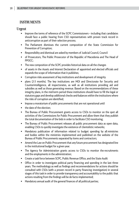# INSTRUMENTS

#### Urgent

- Improve the terms of reference of the SCPC Commissioners including that candidates should face a public hearing from CSO representatives with proven track record in anticorruption as part of their selection process.
- The Parliament dismisses the current composition of the State Commission for Prevention of Corruption;
- Responsibility and dismissal are asked by members of Judicial Council, Council
- of Prosecutors, The Public Prosecutor of the Republic of Macedonia and The Head of PPOCC;
- The new composition of the SCPC provides historical data on all the changes
- of assets in the Assets and Interest Declaration of appointed and elected officials and expands the scope of information that it publishes;
- Corruption risks assessment of key institutions and development of integrity
- plans (2-3 months). The key institutions are MOI and Directorate for Security and Counterintelligence, all inspectorates, as well as all institutions providing aid and subsidies as well as those generating revenue. Based on the recommendations of these integrity plans, in the mid-term period these institutions should have to fill the legal or statutory gaps and develop additional checks-and-balances within the institutions where the risks of corruption are identified;
- **IMPO 2018** Impose a moratorium of public procurements that are not operational until
- the date of the election;
- The Bureau of Public Procurement grants access to CSOs to monitor on the spot all activities of the Commissions for Public Procurement and allow them that they publish the total documentation of the bids in order to facilitate CSO monitoring;
- The Bureau of Public Procurement releases all public procurement data as open data, enabling CSOs to quickly investigate the existence of clientelistic networks;
- Mandatory publication of information related to budget spending by all ministries and bodies within the ministries implemented and published on the website of the Bureau of Public Procurements separated by items and contractors;
- **Amend the Law on Public Procurement that any future procurement has designated line** in the institutional budget for a given year.
- The Agency for Administration grants access to CSOs to monitor the recruitments and the employments in the administration;
- Create a task force between SCPC, Public Revenue Office, and the State Audit
- Office in order to investigate political party financing and spending in the last three years. The methodology as well as findings and recommendations for actions should be consulted with CSOs (with a proven record in party financing investigation) in several stages of this task in order to provide transparency and accountability to the public that actions resulting from the findings will be de facto implemented;
- Mandatory annual audit of the general finances of all political parties;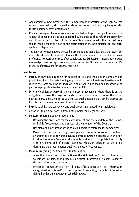- Appointment of new members in the Commission on Protection of the Right to Free Access to Information, who should be independent experts, with a strong background in the field of free access to information;
- Prohibit pre-signed blank resignations of elected and appointed public officials, the validity of bonds of elected and appointed public officials that hold them dependent on political parties or other political patrons. Sanctions included in the Electoral Code should include imposing a ban on the participation in the next elections for any party applying such practice;
- The Law on Whistleblowers should be amended and not allow that the court can reveal the identity of the whistleblower without prior consent.; increase the technical proficiency to ensure anonymity of whistleblowers at all times. Most importantly, include a general provision for reporting at any Public Prosecutor Office so as to include the SPP in the list of institutions for external reporting.

#### Short term

- Introduce only public funding for political parties and the election campaign and prohibit any kind of private funding of political parties. All registered parties should receive the same amount of funds, while additional funds shall be allocated to the parties in proportion to the number of elected MPs;
- Different opinion on party financing: Impose a mechanism where there is an the obligation to prove the origin of funds for any donation and increase the tax on political party donations so as to generate public income that can be distributed for interventions in other areas of public interest;
- Introduce obligatory tax review and public reporting related to all individual
- donations to political parties, from both physical and legal persons;
- Measures regarding public procurement:
	- Revoking the provisions for the establishment and the mandate of the Council for Public Procurement and dismissal of the members of the Council;
	- Revision and amendment of the so-called negative reference for companies;
	- Reconsider the rule on using lowest price as the only criterion for contractawarding as a step towards aligning contract-awarding criteria with the new EU directive where "economically most favorable bid" is stipulated as priority criterion, comprised of several elements which, in addition to the price, determine the procurement's quality and cost- effectiveness.
- **Measures regarding the free access to information:** 
	- Allow the Commission for Protection of the Right to Free Access to Information to initiate misdemeanor procedures against information- holders failing to disclose information requested.
	- Introduce competencies for disclosure/declassification of information categorized as "internal" for the purpose of protecting the public interest as defined under the new Law on Whistleblowers.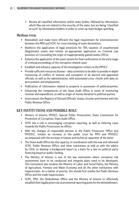Review all classified information within state bodies, followed by information which files are not related to the security of the state, but are being "classified as such" by information-holders in order to cover-up state budget spending.

## Medium term

- Reestablish and make more efficient the legal requirement for interconnection between the PRO and SCPC for cross-checking of asset declaration;
- Reinforce the application of legal provisions for 70% taxation of unauthorized (illegitimate) assets and initiate an appropriate application on Criminal Law provision on Concealing the origin of inappropriately gained assets (359-a).
- Enhance the application of the asset seizure for final confiscation at the early stage of criminal proceedings of the corruption related cases
- Establish and enhance capacity of the Investigative centers in the PPOCC
- Provide sufficient resources (human data scientists) to be able to provide in-depth monitoring of conflict of interest and corruption of all elected and appointed officials, as well as the administration, with automated cross- checks with data on procurement and employment;
- **Publication of information related to property in possession of political parties;**
- Enhancing the competences of the State Audit Office in terms of monitoring revenue and expenditure, as well as origin of money donated to political parties;
- **Interconnect the Registry of Elected Officials' Assets, Income and Interest with the** Public Revenue Office.

# KEY INSTITUTIONS AND POSSIBLE ROLE

- Ministry of Interior, PPOCC; Special Public Prosecution, State Commission for Prevention of Corruption, State Audit Office.
- SCPC has a role in encouraging corruption reporting, as well as referring cases towards the Public Prosecutors ex officio.
- With the changes of responsible persons in the Public Prosecutor Office and PPOOCC, initiate an increase in the public trust for PPO and PPOOCC accompanied with the increase in human and technical capacities of the latter.
- The State Audit Office has the capacity, in coordination with the new and reformed SCPC, Public Revenue Office, and other institutions as well as with the advice by CSOs, to develop a background report as a basis for a law on political party financing based on public funding.
- The Ministry of Interior is one of the key institutions where corruption risk assessments have to be conducted and integrity plans need to be developed. This instrument also involves the Ministry of Labor and Social Policy, the Ministry of Agriculture, Forestry and Water Economy and all the other institutions with inspectorates. As a matter of priority, this should first involve the Public Revenue Office and the trade inspectorates.
- SCPC, PPO, the Ombudsman Office and the Ministry of Interior to effectively establish their legally given role as an external reporting point for the whistleblowers.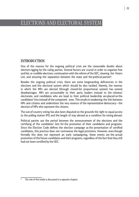# ELECTIONS AND ELECTORAL SYSTEM

## INTRODUCTION

One of the reasons for the ongoing political crisis are the reasonable doubts about election-rigging by the ruling parties. Several factors are crucial in order to organize free and fair, or credible elections: continuation with the reform of the SEC, cleaning the Voters List, and ensuring the separation between the state and the political parties<sup>9</sup>.

Besides the ongoing political crisis, there are some longstanding deficiencies in the elections and the electoral system which should be also tackled. Namely, the manner in which the MPs are elected (through closed-list proportional system) has several disadvantages. MPs are accountable to their party leaders instead to the citizens/ electorate, and candidates who are loyal to their political leadership are placed on the candidates' lists instead of the competent ones. This results in weakening the link between MPs and citizens and undermines the very essence of the representative democracy – the election of MPs who represent the citizens.

The out-of-country voting has also been disputed on the grounds the right to equal access to the polling station (PS) and the length of stay abroad as a condition for voting abroad.

Political parties use the period between the announcement of the elections and the certifying of the candidates' lists for the promotion of their candidates and programs. Since the Election Code defines the election campaign as the presentation of certified candidates, this practice does not contravene the legal provisions. However, even though formally this does not represent an early campaigning, these events are the actual promotion of the future candidates and their programs, regardless of the fact that they still had not been certified by the SEC.

<sup>9</sup> The role of the media is discussed in a separate chapter.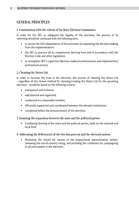# GENERAL PRINCIPLES

#### 1. Continuation with the reform of the State Election Commission

In order for the SEC to safeguard the legality of the elections, the process of its reforming should be continued with the following aims:

- to secure the full independence of the processes by separating the decision-making from the implementation;
- the SEC to practice all its competences deriving from and in accordance with the Election Code and other legislation;
- to strengthen SEC's capacities (decision-makers/commissioners and implementers/ professional service).

#### 2. Cleaning the Voters List

In order to increase the trust in the elections, the process of cleaning the Voters List – regardless of the chosen method for cleaning/creating the Voters List for the upcoming elections – should be based on the following criteria:

- **transparent and inclusive;**
- well planned and organized;
- conducted in a reasonable timeline:
- efficiently supported and coordinated between the relevant institutions;
- completed before the announcement of the elections.

#### 3. Ensuring the separation between the state and the political parties

 Combating blurring of the state and the political parties, both on the national and local level.

#### 4. Addressing the deficiencies of the election process and the electoral system

 Reviewing the closed list variant of the proportional representation system, reviewing the out-of-country voting, and providing fair conditions for campaigning to all participants in the elections.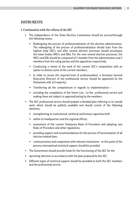## INSTRUMENTS

#### 1. Continuation with the reform of the SEC

- The independence of the State Election Commission should be secured through the following means:
	- Redesigning the process of professionalization of the election administration. The redesigning of the process of professionalization should start from the highest body (SEC), and after several election processes should encompass the lower bodies (MECs and EBs). For the next several election processes, the MECs and EBs should be composed of 1 member from the administration and 2 members from the ruling parties and the opposition respectively;
	- Conducting a review of the work of the current SEC's composition with an option to dismiss some of the current members;
	- In order to secure the required level of professionalism, a Secretary General (Executive Director) of the professional service should be appointed by the Parliament with 2/3 majority;
	- Transferring all the competencies in regards to implementation –
	- including the compilation of the Voters List to the professional service and making them not subject to approval/voting by the members.
- The SEC professional service should prepare a detailed plan referring to its overall work, which should be publicly available and should consist of the following elements:
	- strengthening its institutional, technical and human capacities both
	- $\bullet$  within its headquarters and the regional offices;
	- assessment of the current Temporary Rules of Procedure and adopting new Rules of Procedure and other regulations;
	- providing support and recommendations for the process of harmonization of all election-related laws;
	- communication and cooperation with relevant institutions at this point of the process international technical support should be provided.
- The Government should provide funds for the functioning of the SEC for the
- upcoming elections in accordance with the plan proposed by the SEC.
- Different types of technical support should be provided to both the SEC members and the professional service.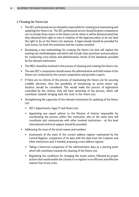#### 2. Cleaning the Voters List

- The SEC professional service should be responsible for creating (not maintaining and updating) the Voters List. The SEC professional service should be given competence not to include those voters in the Voters List for whom it will be demonstrated that they obtained their right to vote in violation of the legal procedure or do not have the right to be on the Voters List anymore. A legal remedy should be provided for such action, for both the institution and the citizens involved;
- Developing a new methodology for creating the Voters List that will replace the existing two methodologies and which will include clear provisions and procedures for conducting cross-checks and administrative checks of the databases provided by the relevant institutions;
- The MECs should be involved in the process of cleaning and creating the Voters List;
- The new SEC's composition should assess the administrative and field review of the Voters List conducted by the current composition and provide a report;
- **IF there are no reforms of the process of maintaining the Voters List for securing** credible elections, then the possibility of introducing an active voters' registration should be considered. This would make the process of registration controlled by the citizens, they will have ownership of the process, which will contribute towards bringing back the trust in the Voters List;
- Strengthening the capacities of the relevant institutions for updating of the Voters List:
	- SEC's departments: legal, IT and Voters List;
	- Appointing one expert advisor to the Minister of Interior responsible for coordinating the process within this institution, who at the same time will coordinate and communicate with other involved institutions – at this level international technical support should be provided.
- Addressing the issue of the street names and numbers:
	- Assessment of the state of the current address register maintained by the Central Register, comparison of its data with the data from the Cadaster and other institutions and, if needed, preparing a new address register;
	- Taking a historical comparison of the administrative data as a starting point which will contribute towards the cleaning of the Voters List;
	- Regulating the conditions for changing the street names, followed by proper actions that would enable the citizens to re-register in an efficient and effective manner free of any costs.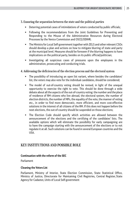#### 3. Ensuring the separation between the state and the political parties

- Deterring potential cases of intimidations of voters conducted by public officials;
- Following the recommendations from the Joint Guidelines for Preventing and Responding to the Misuse of the Administrative Resources during Electoral Processes by the Venice Commission and OSCE/ODIHR;
- The Ministry for Local Self-government together with ZELS and other relevant CSOs should develop a plan and actions on how to mitigate blurring of state and party at the municipal level. Measures should be foreseen if the blurring happens to have implications on the political party, besides on its public official/politician;
- **Investigating all suspicious cases of pressures upon the employees in the** administration, prosecuting and conducting trials.

#### 4. Addressing the deficiencies of the election process and the electoral system

- The possibility of introducing an open list variant, where besides the candidates' list, the voters may also vote for the individual candidates, should be considered;
- The model of out-of-country voting should be revised, in light of the unequal opportunity to exercise the right to vote. This should be done through a wide debate about all the aspects of the out-of-country voting: the number and the place of residence of RM citizens who live abroad, the electoral system, the number of election districts, the number of MPs, the equality of the vote, the manner of voting etc., in order to find more democratic, more efficient, and more cost-effective solutions in the interest of all citizens of the RM. If this does not happen before the next elections, the out-of-country should be suspended on those elections;
- The Election Code should specify which activities are allowed between the announcement of the elections and the certifying of the candidates' lists. The available options which will eliminate the possibility for early campaigning are to have the campaign starting with the announcement of the elections or to not regulate it at all. Such solutions can be found in several European countries and the USA.

## KEY INSTITUTIONS AND POSSIBLE ROLE

#### **Continuation with the reform of the SEC**

Parliament

#### **Cleaning the Voters List**

Parliament, Ministry of Interior, State Election Commission, State Statistical Office, Ministry of Justice, Directorate for Maintaining Civil Registries, Central Register, State Agency for Cadaster**,** Units of Local Self-government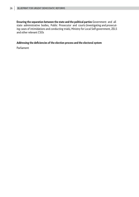**Ensuring the separation between the state and the political parties** Government and all state administrative bodies, Public Prosecutor and courts (investigating and prosecuting cases of intimidations and conducting trials), Ministry for Local Self-government, ZELS and other relevant CSOs

#### **Addressing the deficiencies of the election process and the electoral system**

Parliament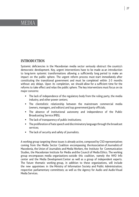# **MEDIA**

# INTRODUCTION

Systemic deficiencies in the Macedonian media sector seriously obstruct the country's democratic development. Key, urgent interventions have to be made as an introduction to long-term systemic transformations allowing a sufficiently long period to make an impact on the public sphere. The urgent reform process must start immediately after constituting the transitional government and must be completed within 2-3 months without any delays. Upon its completion, we should allow for a sufficient time for the reforms to take effect and relax the public sphere. The key interventions must focus on six major concerns:

- The lack of independence of the regulatory body from the ruling party, the media industry, and other power centers;
- The clientelistic relationship between the mainstream commercial media (owners, managers, and editors) and top government/party officials;
- The absence of institutional autonomy and independence of the Public Broadcasting Service (PBS);
- **The lack of transparency of public institutions;**
- The proliferation of hate speech and discriminatory language through the broadcast services;
- The lack of security and safety of journalists.

A working group targeting these issues is already active, composed by CSO representatives coming from the Media Sector Coalition encompassing the Association of Journalists of Macedonia, the Union of Journalists and Media Workers, the Institute for Communication Studies, the Macedonian Institute for Media and the Council of Media Ethics. The working group encompasses media organizations outside this coalition, namely the NVO Info center and the Media Development Center as well as a group of independent experts. Тhe future thematic working group, in addition to these organizations, will include the new appointees in the Ministry of Information Society and Public Administration; respective parliamentary committees; as well as the Agency for Audio and Audio-Visual Media Services.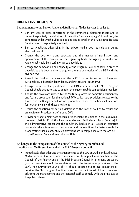# URGENT INSTRUMENTS

1. Amendments to the Law on Audio and Audiovisual Media Services in order to:

- Ban any type of 'state advertising' in the commercial electronic media and to determine precisely the definition of the notion 'public campaigns'. In addition, the conditions under which public campaigns can be aired on the Public Broadcasting Service have to be precisely specified;
- Ban party-political advertising in the private media, both outside and during electoral period.
- Change the decision-making structure and the manner of nomination and appointment of the members of the regulatory body (the Agency on Audio and Audiovisual Media Services) in order to depoliticize it;
- Change the composition and capacity of the Program Council of MRT in order to depoliticize this body and to strengthen the interconnection of the PBS with the civil society;
- Amend the funding framework of the MRT in order to secure its long-term sustainability, editorial independence, and institutional autonomy;
- Change the mode of appointment of the MRT editors in chief MRT's Program Council should be authorized to appoint them upon a public competition procedure;
- Abolish the provisions related to the 'cultural quotas' for domestic documentary and feature production for the national TV broadcasters, provisions related to the funds from the Budget aimed for such production, as well as the financial sanctions for not complying with these provisions;
- Reduce the sanctions for certain violations of the Law, as well as to reduce the annual fee for broadcasters of around 50%.
- **Provide for sanctioning 'hate speech' or incitement of violence in the audiovisual** programs (Article 48 of the Law on Audio and Audiovisual Media Services) in the administrative procedure; the regulatory bodies in all European countries can undertake misdemeanor procedures and impose fines for hate speech for broadcasting such a content. Such provisions are in compliance with the Article 10 of the European Convention on Human Rights.
- 2. Changes in the composition of the Council of the Agency on Audio and Audiovisual Media Services and of the MRT Program Council
	- **IMMED 12** Immediately after adopting the amendments to the Law on Audio and Audiovisual Media Services, it is necessary to nominate and to appoint new members of the Council of the Agency and of the MRT Program Council in an urgent procedure (shorter deadlines should be established with the transitional provisions of the Law). The new Program Council of MRT should, according to its legal competencies, consider the MRT program functions in respect to the interest of the citizens and ask from the management and the editorial staff to comply with the principles of the public interest.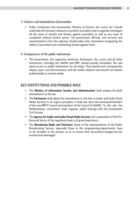#### 3. Violence and intimidation of journalists

 Public institutions (the Government, Ministry of Interior, the courts etc.) should undertake all necessary measures to protect journalists and to urgently investigate all the cases of attacks and threats against journalists as well as any cases of complaints without further action. The government officials, civil servants and representatives from the judiciary should make clear statements recognizing the safety of journalists and condemning attacks against them.

#### 4. Transparency of the public institutions

 The Government, the respective ministries, Parliament, the courts and all other institutions, including the AAVMU and MRT, should provide immediate, fair and equal access to public information for all media. They should work transparently, employ open, non-discriminatory and fair media relations and should not behave preferentially to certain media.

# KEY INSTITUTIONS AND POSSIBLE ROLE

- The **Ministry of Information Society and Administration** shall prepare the draft amendments to the law.
- The **Parliament** shall adopt the amendments to the law on Audio and Audio-Visual Media Services in an urgent procedure. It shall also elect the nominated members of the new MRTV Council and members of the Council of AAVMU. To this aim, the Parliamentary committees shall organize public hearings with the involvement Civil Society.
- The **Agency for Audio and Audio-Visual Media Services:** the cooperation of the Professional Sector of the regulatory body is of great importance.
- The **Macedonian Radio and Television:** Some of the representatives of the Public Broadcasting Service, especially those in the programming departments, have to be included in the process so as to ensure that the positive changes are not resisted and sabotaged.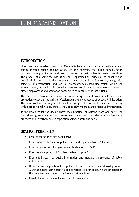# PUBLIC ADMINISTRATION

# INTRODUCTION

More than two decades of reform in Macedonia have not resulted in a merit-based and service-oriented public administration. On the contrary, the public administration has been heavily politicized and used as one of the main pillars for party clientelism. The process of eroding the institutions has jeopardized the principles of equality and non-discrimination. In addition, frequent changes of the legal framework, along with selective implementation and lack of transparency created uncertainty within the administration, as well as in providing services to citizens. A decade-long process of biased employment and promotion contributed to capturing the institutions.

The proposed measures are aimed at re-instating a merit-based employment and promotion system, encouraging professionalism and competence of public administration. The final goal is restoring institutional integrity and trust in the institutions, along with a proportionally sized, professional, politically impartial and efficient administration.

Taking into account the deeply entrenched practices of blurring state and party, the transitional government (expert government) must decisively discontinue clientelistic practices and effectively ensure separation between state and party.

## GENERAL PRINCIPLES

- **Ensure separation of state and party;**
- Ensure non-employment of public resources for party activities/elections;
- Ensure cooperation of all government bodies with the SPP;
- **Prioritize an approach of "0 tolerance to corruption";**
- Ensure full access to public information and increase transparency of public institutions;
- Dismissal and appointment of public officials to appointment-based positions within the state administrative bodies responsible for observing the principles in this document and for ensuring free and fair elections;
- **Restriction on public employments until the elections;**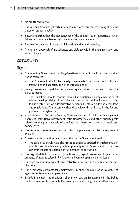- No arbitrary dismissals;
- Ensure equality and legal certainty in administrative procedures; fining should be based on proportionality;
- Ensure and strengthen the independence of the administration (in particular when taking decisions on citizens' rights - administrative procedure).
- Ensure effectiveness of public administration bodies and agencies;
- Promote an approach of inclusiveness and dialogue within the administration and with civil society.

# INSTRUMENTS

#### Urgent

- Statement by Government that illegal partisan activities in public institutions shall not be tolerated;
	- The Statement should be largely disseminated in public sector bodies, institutions and agencies, as well as through media;
- **In It is a Solut Sepannian Figure 1** is used in susting mechanisms of misuse of state for party purposes
	- The Guidelines should contain detailed instructions on implementation of related legal provisions from relevant laws - Law on Employments in the Public Sector, Law on administrative servants, Electoral Code and other laws and regulations. The document should be widely disseminated in the PA and published through media;
- Appointment of: Secretary General/ State secretaries of ministries; Management boards of institutions; Directors of institutions/agencies and other priority posts related to the primary goals of the Blueprint, based on criteria of merit and competence;
- Ensure timely responsiveness and monitor compliance of SAB to the requests of the SPP;
- **EXECT** Create an anti-corruption task force at the central Government level;
	- The task force should have clear responsibilities to strengthen implementation of anti corruption law and practices primarily within Government, so that the Government sets an example of "0 tolerance" to corruption;
- It is suggested that the members of the transitory expert Government be paid in the amounts of average salary in RM (there are divergent opinions on this issue);
- Embargo on new employments and restrictive dismissals in the public sector until elections
- Ban temporary contracts for employments in public administration by virtue of agencies for temporary employments;
- Strictly implement the provisions of the new Law on Employment in the Public Sector in relation to Equitable Representation and strengthen penalties for non-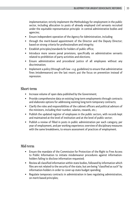implementation; strictly implement the Methodology for employment in the public sector, including allocation to posts of already employed civil servants recruited under the equitable representation principle in central administrative bodies and agencies;

- Ensure independent operation of the Agency for Administration, including
- through the merit-based appointment of the Director and the Deputy Director; based on strong criteria for professionalism and integrity;
- Establish principles/standards for holders of public office;
- **Introduce more severe penal provisions, specifically on administrative servants** related to prohibition of party activities and elections;
- Ensure administrative and procedural justice of all employees without any discrimination;
- **IMPLA** Implement a policy (through soft-law e.g. guidelines) to ensure that administrative fines (misdemeanors) are the last resort; put the focus on prevention instead of repression.

#### Short-term

- **Increase volume of open data published by the Government;**
- **Provide comprehensive data on existing long-term employments through contracts** and elaborate options for addressing existing long-term temporary contracts;
- Clarify the roles and responsibilities of the cabinet officers and political advisors of the ministers, including their number, salaries, rewards, etc.;
- Publish the updated register of employees in the public sectors, with records kept and maintained at the level of institution and at the level of public sector;
- Publish a review of filled in posts in public administration per each category, per year of employment, and per working experience; overview of disciplinary measures with the same breakdowns, to ensure assessment of practices of employment.

#### Mid-term

- Ensure the mandate of the Commission for Protection of the Right to Free Access to Public Information to initiate misdemeanor procedures against informationholders failing to disclose information requested;
- Review all classified information within state bodies, followed by information which files are not related to the security of the state, but are being "classified as such" by information-holders in order to cover-up state budget spending;
- Regulate temporary contracts in administration in laws regulating administration, on merit-based principles;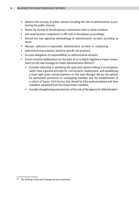- Advance the concept of public interest including the role of administration in protecting the public interest;
- Revert the format of the disciplinary commissions back to three members
- **Theoral and award greater competence to HR units in disciplinary proceedings;**
- Amend the new appraisal methodology of administrative servants according to merit;
- Allocate authority to responsible administrative servants in conducting
- administrative procedures, based on specific job positions;
- **Increase delegation of responsibilities to administrative servants;**
- Ensure inclusive deliberation (on the basis of an in-depth regulatory impact assessment) on the new Strategy for Public Administration Reform<sup>10</sup>;
	- Consider reforming or abolishing the open post system making it an exception, rather than a general principle for civil servants' employment, and establishing a more rigid career system (opinions on this issue diverge); discuss the options for permanent secretaries or overlapping mandate and the establishment of a cohort of Senior Civil Service that should be fully professionalized and their mandates separated from the Government mandate;
	- Consider strengthening and extension of the role of the Agency for Administration.

<sup>&</sup>lt;sup>10</sup> The drafting of the new Strategy has been launched.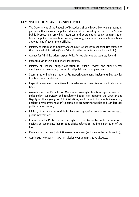#### KEY INSTITUTIONS AND POSSIBLE ROLE

- The Government of the Republic of Macedonia should have a key role in preventing partisan influence over the public administration; providing support to the Special Public Prosecution; providing resources and coordinating public administration bodies' input in the election process; ensuring a climate for credible elections; appointment of government officials;
- Ministry of Information Society and Administration: key responsibilities related to the public administration (State Administrative Inspectorate is a body within);
- Agency for Administration: responsibility for recruitment procedures, Second
- **Instance authority in disciplinary procedures.**
- Ministry of Finance: budget allocation for public services and public sector employments; mandatory consent for all public sector employments;
- Secretariat for Implementation of Framework Agreement: implements Strategy for Equitable Representation;
- **Inspection services, committees for misdemeanor fines: key actors in delivering** fines;
- Assembly of the Republic of Macedonia: oversight function; appointments of independent supervisory and regulatory bodies (e.g. appoints the Director and Deputy of the Agency for Administration); could adopt documents (resolution/ declaration/recommendation) to commit to promoting principles and standards for public administration;
- Ministry of Justice responsible for laws and regulations related to free access to public information;
- Commission for Protection of the Right to Free Access to Public Information decides on complaints; has responsibilities related to the implementation of the Law;
- **Regular courts have jurisdiction over labor cases (including in the public sector);**
- Administrative courts have jurisdiction over administrative disputes.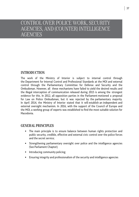# CONTROL OVER POLICE WORK, SECURITY AGENCIES, AND (COUNTER) INTELLIGENCE **AGENCIES**

# INTRODUCTION

The work of the Ministry of Interior is subject to internal control through the Department for Internal Control and Professional Standards at the MOI and external control through the Parliamentary Committee for Defense and Security and the Ombudsman. However, all these mechanisms have failed to yield the desired results and the illegal interception of communication released during 2015 is among the strongest evidence for this. In 2012, all opposition parties in the Parliament motioned a proposal for Law on Police Ombudsman, but it was rejected by the parliamentary majority. In April 2014, the Ministry of Interior stated that it will establish an independent and external oversight mechanism. In 2016, with the support of the Council of Europe and the MOI, a working group of experts was established to find the most suitable solution for Macedonia.

## GENERAL PRINCIPLES

- The main principle is to ensure balance between human rights protection and public security, credible, effective and external civic control over the police forces and the secret service;
- Strengthening parliamentary oversight over police and the intelligence agencies (See Parliament Chapter);
- **Introducing community policing;**
- Ensuring integrity and professionalism of the security and intelligence agencies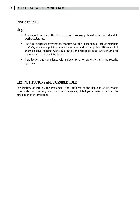# INSTRUMENTS

#### Urgent

- Council of Europe and the MOI expert working group should be supported and its work accelerated;
- The future external oversight mechanism over the Police should include members of CSOs, academia, public prosecution offices, and retired police officers – all of them on equal footing, with equal duties and responsibilities; strict criteria for membership should be introduced;
- **Introduction and compliance with strict criteria for professionals in the security** agencies.

# KEY INSTITUTIONS AND POSSIBLE ROLE

The Ministry of Interior, the Parliament, the President of the Republic of Macedonia Directorate for Security and Counter-Intelligence, Intelligence Agency (under the jurisdiction of the President).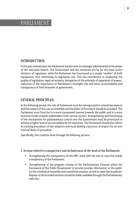# PARLIAMENT

# INTRODUCTION

In the past several years the Parliament has become increasingly subordinated to the power of the executive branch. The Government and the ministries are by far the most active initiators of regulation, while the Parliament has functioned as a simple "verifier" of draft regulations, thus minimizing its legislative role. This has contributed to weakening the quality of legislation, legal uncertainty, derogation of the principle of separation of powers, reduction of the importance of Parliament's oversight role and lower accountability and transparency of both branches of government.

# GENERAL PRINCIPLES

In the following period, the role of Parliament must be reinvigorated in several key aspects and full respect of the Law on Assembly and the Rules of Procedure should be provided. The Parliament must function in a more transparent manner towards the public and in a more inclusive model towards stakeholders from various sectors. Strengthening and functioning of the mechanisms for parliamentary control over the Government must be prioritized to achieve a higher level of accountability by the executive. The Parliament should also reform its existing procedures of law adoption and must develop a practice of respect for its own internal Rules of procedure.

Specifically, this could be done through the following actions:

#### 1. Actions related to transparency and inclusiveness of the work of the Parliament:

- Strengthening the transparency of the MPs' work with the aim to raise the overall transparency of the Parliament;
- Strengthening of the program scheme of the Parliamentary Channel within the framework of the Public Broadcaster to provide prompt information to the public on the schedule of Assembly and committee sessions, as well as their live broadcast. Replays of all recorded sessions should be made available through the Parliamentary web-site;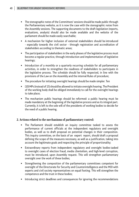- The stenographic notes of the Committees' sessions should be made public through the Parliamentary website, as it is now the case with the stenographic notes from the Assembly sessions. The supporting documents to the draft legislation (reports, evaluations, analysis) should also be made available and the website of the parliament should be made easily searchable;
- A mechanism for higher inclusion of external stakeholders should be introduced - especially towards the civil sector - through registration and accreditation of stakeholders according to thematic areas;
- The participation of stakeholders in the early phases of the legislative process must become a regular practice, through introduction and implementation of legislative hearings;
- Introduction of a monthly or a quarterly recurring schedule for all parliamentary activities, in order to strengthen the readiness of stakeholders to participate in the legislative process. The schedule should be fully respected, in line with the provisions of the Law on the Assembly and the internal Rules of procedure;
- The procedure for initiating oversight hearings should be made simpler. Ten
- (10) MPs (instead of 15) should be allowed to initiate oversight hearing. The President of the working body shall be obliged immediately to call for the oversight hearings to take place;
- The mechanism public hearings should be reformed: a public hearing must be made mandatory at the beginning of the legislative process and as its integral part. Currently, it is left to the sole will of the presidents of working bodies to decide for the need of a public hearing.

#### **2. Actions related to the mechanisms of parliamentary control:**

- The Parliament should establish an inquiry committee tasked to assess the performance of current officials at the independent regulatory and oversight bodies, as well as to draft proposal on potential changes in their composition. This inquiry committee, on the basis of an expert report, should draft a proposal defining the scope of the measures necessary, as well as a justification, taking into account the legitimate goals and respecting the principle of proportionality;
- Extraordinary reports from independent regulatory and oversight bodies tasked to oversight cases of election fraud, media clientelism, and high-level corruption, must be introduced, upon Assembly request. This will strengthen parliamentary oversight over the work of these bodies;
- Strengthening the composition of the parliamentary committees competent for oversight of the Directorate for Security and Counterintelligence and the MOI with experts and civil society representatives on equal footing. This will strengthen the competence and the trust in these bodies;
- **Introducing strict deadlines and consequences for ignoring the recommendations**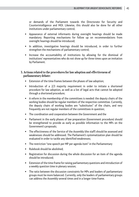or demands of the Parliament towards the Directorate for Security and Counterintelligence and MOI. Likewise, this should also be done for all other institutions under parliamentary control;

- Appearance of external informants during oversight hearings should be made mandatory. Reporting mechanisms for follow up on recommendations from oversight hearings should be introduced;
- In addition, investigative hearings should be introduced, in order to further strengthen the mechanisms of parliamentary control;
- **Increase the accountability of institutions by allowing for the dismissal of** institutions' representatives who do not show up for three times upon an invitation by Parliament.

#### **3. Actions related to the procedures for law adoption and effectiveness of parliamentary debate:**

- **Extension of the time-frames between the phases of law adoption;**
- Introduction of a 2/3 majority requirement in order to initiate a shortened procedure for law adoption, as well as a list of legal acts that cannot be adopted through a shortened procedure;
- A reform in the membership of the committees is needed: the deputy chairs of the working bodies should be regular members of the respective committee. Currently, the deputy chairs of working bodies are "substitutes" of the chairs, and very frequently are not regular members of the committees in question;
- The coordination and cooperation between the Government and the
- Parliament in the early phases of law preparation (Government procedure) should be strengthened to provide as early as possible information to the MPs on the Government's proposals;
- The effectiveness of the Service of the Assembly (the staff) should be assessed and weaknesses should be addressed. The Parliament's systematization plan should be evaluated in order to tackle any identified weaknesses;
- The restriction "one speech per MP per agenda item" in the Parliamentary
- Rulebook should be abolished:
- Registration for discussion during the whole discussion for an item of the agenda should be introduced;
- Extension of the time-frame for raising parliamentary questions and introduction of a weekly question time in plenary session;
- The ratio between the discussion constraints for MPs and leaders of parliamentary groups must be more balanced. Currently, only the leaders of parliamentary groups can address the Assembly several times and in a longer time-frame.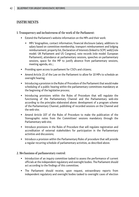# INSTRUMENTS

#### 1. Transparency and inclusiveness of the work of the Parliament:

- Extend the Parliament's website information on the MPs and their work:
	- MPs' biographies, contact information; financial disclosure (salary, additions to salary based on committee membership, transport reimbursement and lodging reimbursement; property list, Declaration of Interests (linked to SCPC web)) [role model: UK Parliament and US Congress], vote records (role model: European Parliament), attendance at parliamentary sessions, speeches on parliamentary sessions, space for the MP to justify absence from parliamentary sessions, meeting agenda, etc.;
- **Providing open access to parliament for CSO's and citizens;**
- Amend Article 21 of the Law on the Parliament to allow for 10 MPs to schedule an oversight hearing;
- Introducing a provision in the Rules of Procedure of the Parliament that would make scheduling of a public hearing within the parliamentary committees mandatory at the beginning of the legislative process;
- Introducing provisions within the Rules of Procedure that will regulate the functioning of the Parliamentary Channel and the Parliamentary web-site according to the principles elaborated above: development of a program scheme of the Parliamentary Channel, publishing of recorded sessions on the Channel and the web-site;
- Amend Article 107 of the Rules of Procedure to make the publication of the Stenographic notes from the Committees' sessions mandatory through the Parliamentary web-site;
- **Introduce provisions in the Rules of Procedure that will regulate registration and** accreditation of external stakeholders for participation in the Parliamentary activities and discussions;
- Introduce a provision within the Parliamentary Rules of procedure that will provide a regular recurring schedule of parliamentary activities, as described above.

#### 2. Mechanisms of parliamentary control:

- **Introduction of an inquiry committee tasked to assess the performance of current** officials at the independent regulatory and oversight bodies. The Parliament should act according to the findings of this committee;
- The Parliament should receive, upon request, extraordinary reports from independent regulatory and oversight bodies tasked to oversight cases of election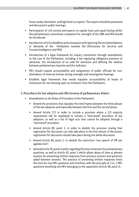fraud, media clientelism and high-level corruption. This reports should be presented and discussed in public hearings;

- Participation of civil society and experts on regular basis and equal footing within the parliamentary committees competent for oversight of the UBK and MOI should be introduced;
- **Introduction of strict deadlines and consequences for ignoring the recommendations** or demands of the Parliament towards the Directorate for Security and Counterintelligence and MOI;
- **Introduction of a legal framework for inquiry committees through amendments** to the Law of the Parliament, including a law regulating obligatory presence of witnesses, the introduction of an oath for witnesses and defining the relation between parliamentary inquiries and the Judiciary;
- MPs should request accountability and resignations of public officials for nonattendance of external invitees during oversight and investigative hearings;
- Establish legal framework that would stipulate accountability of heads of institutions for not showing upon an invitation from the Parliament.
- 3. Procedures for law adoption and effectiveness of parliamentary debate:
	- Amendments to the Rules of Procedure of the Parliament:
		- Amend the provisions that stipulate the time-frames between the three phases of the law adoption and especially between the first and the second phase.
		- $\bullet$  Amend Article 171 in order to include a provision where a 2/3 majority requirement will be stipulated to initiate a "shortened" procedure of law adoption, as well as a list of legal acts that cannot be adopted through a "shortened" procedure.
		- Amend Article 80, point 2, in order to abolish the provision stating that registration for discussion can only take place in the first minute of discussion; registration for discussion should take place during the whole discussion.
		- Amend Article 86, point 1, to abolish the restriction "one speech of MP per agenda item".
		- Amend Article 39, points 5 and 6, regarding the time constraints for parliamentary questions, as well as Article 42, point 3 which allows abuse of time at plenary sessions for presenting written responses from previous sessions and questions asked between sessions. This practice of presenting written responses limits the time for new MPs questions and interferes with the principle of 2 vs. 1 MPs questions benefiting the MPs belonging to the opposition (Article 40, point 2).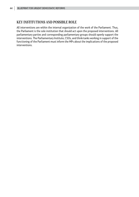# KEY INSTITUTIONS AND POSSIBLE ROLE

All interventions are within the internal organization of the work of the Parliament. Thus, the Parliament is the sole institution that should act upon the proposed interventions. All parliamentary parties and corresponding parliamentary groups should openly support the interventions. The Parliamentary Institute, CSOs, and think-tanks working in support of the functioning of the Parliament must inform the MPs about the implications of the proposed interventions.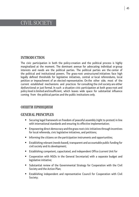# CIVIL SOCIETY

# INTRODUCTION

The civic participation in both the policy-creation and the political process is highly marginalized at the moment. The dominant avenue for advocating individual or group interests and needs are the political parties. The political parties are the center of the political and institutional powers. The grass-root unstructured initiatives face high legally defined thresholds for legislative initiatives, central or local referendums, local petition or impeachment of an elected representative. On the other side, most of the current established mechanisms and practices for consulting the civil society are either dysfunctional or just formal. In such a situation civic participation at both grass-root and policy level is limited and insufficient, which leaves wide space for substantial influence coming from the political parties and the public institutions only.

# ОПШТИ ПРИНЦИПИ

## GENERAL PRINCIPLES

- Securing legal framework on freedom of peaceful assembly (right to protest) in line with international standards and ensuring its effective implementation;
- **Empowering direct democracy and the grass-root civic initiatives through incentives** for local referenda, civic legislative initiatives, and petitions;
- **Informing the citizens on the participation instruments and opportunities;**
- Establishing relevant (needs-based), transparent and accountable public funding for civil society and its development;
- Establishing competent, capacitated, and independent Office (current Unit for
- Cooperation with NGOs in the General Secretariat) with a separate budget and legislative initiative;
- Substantial review of the Governmental Strategy for Cooperation with the Civil Society and the Action Plan;
- Establishing independent and representative Council for Cooperation with Civil Society;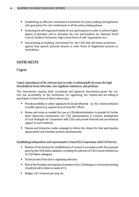- Establishing an effective consultative mechanism for policy-making and legislation with guarantees for civic involvement in all the policy-making phases.
- Endorsing the self-organized models of civic participation in order to achieve higher degree of pluralism and to stimulate the civic participation (ex. National Youth Council, Student Parliament, High-school forms of self- organization etc.)
- Guaranteeing an enabling environment for the CSOs that will ensure protection against hate speech, personal attacks or other forms of illegitimate pressure or intimidation.

# INSTRUMENTS

## Urgent

Urgent Amendment of the relevant laws in order to substantially decrease the legal thresholds for local referenda, civic legislative initiatives, and petitions.

This intervention requires both conceptual and logistical interventions given the current low accessibility of the institutions for registering the citizens who are willing to participate in these forms of direct democracy.

- **Provide possibility to collect signatures for (local) referenda** by the citizens/initiators on public spaces (e.g. squares) vis-à-vis local SEC offices;
- Review and revise as needed the Law on LSGs/decentralization to provide for further direct democracy mechanisms, incl. CSO representatives in Councils, development of local Strategies for Cooperation with CSOs and provide financial and non-financial support to such initiatives.
- **Massive and interactive media campaign to inform the citizens for their participation** opportunities and stimulate activism simultaneously.

#### Establishing independent and representative Council for Cooperation with Civil Society

- Revision of the decision for establishment of Council in accordance with the proposals given by the CSOs before adoption, including the selection of CSO Council members by its CSO fellow colleagues;
- **Technical role of the Unit in organizing selection;**
- Role of the President and majority of members  $(14 \text{ vs } 13)$  belongs to civil society-showing of political will to listen to needs of CS;
- $\blacksquare$  Budget, min. 4 sessions per year, etc.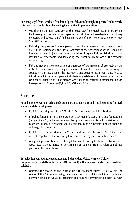Securing legal framework on freedom of peaceful assembly (right to protest) in line with international standards and ensuring its effective implementation

- Withdrawing the new regulation of the Police Law from March 2015 (4 new means for breaking a crowd and video tapes) and conduct of full investigation, disciplinary measures, and publication of findings on the use of excessive force by police on May 5th, 2015 protest;
- Following the progress in the implementation of the measure to set a neutral zone around the Parliament in the Plan of Activities of the Government of the Republic of Macedonia (point 4.1.) prepared based on the List of Urgent Reform Priorities of the Republic of Macedonia and indicating the potential limitations of the freedom of assembly;
- Full and non-selective application and respect of the freedom of assembly by the institutions and police, especially in the cases of peaceful assembly. It is necessary to strengthen the capacities of the institutions and police to use proportional force to introduce public order and peace, incl. devising guidelines and training based on the UN Special Rapporteurs Maina Kiai and Christof Heyns Practical Recommendation son Management of Assemblies (A/HRC/31/66) March 2016.

# **Short term**

Establishing relevant (needs-based), transparent and accountable public funding for civil society and its development

- Revising and adopting of the 2014 draft Decision on use and distribution
- of public funding for financing program activities of associations and foundations (budget line 463) including defining clear procedure and criteria for distribution of funds (multi-annual financing and institutional funding, projects and co-financing of foreign (EU) projects);
- Revising the Law on Games on Chance and Lotteries Proceeds Art. 16 making obligatory public call for receiving funds and reporting on spent public money;
- Analytical presentation of the budget line 463 to six digits about the transfers to CSOs (associations, foundations) via ministries, agencies from transfers to political parties and other entities.

Establishing competent, capacitated and independent Office (current Unit for Cooperation with NGOs in the General Secretariat) with a separate budget and legislative initiative

 Upgrade the status of the current unit to an independent Office within the scope of the GS, guaranteeing independence to act of its staff in contacts and communication of CSOs, establishing of effective communication strategy with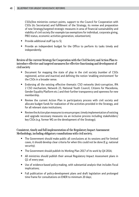CSOs/line ministries contact points, support to the Council for Cooperation with CSOs (its Secretariat) and fulfillment of the Strategy, its review and preparation of new Strategy/targeted strategic measures in area of financial sustainability and viability of civil society (for example tax exemptions for individual, corporate giving, PBO status, economic activities generation, volunteerism);

- Provide additional staff (up to 5);
- **Provide an independent budget for the Office to perform its tasks timely and** independently.

Review of the current Strategy for Cooperation with the Civil Society and Action Plan to introduce effective and targeted measures for effective functioning and development of civil society

- Document for mapping the state of play in the civil society (number of CSOs registered, active and inactive) and defining the notion 'enabling environment' for the CSOs in a broader sense.
- Endorsing all the existing effective thematic CSO networks (Anti-corruption, IPA 2 CSO mechanism, Network 23, National Youth Council, Citizens for Macedonia, Gender Equality Platform etc.) and their further transparency and openness for new membership.
- Review the current Action Plan in participatory process with civil society and allocate budget funds for realization of the activities provided in the Strategy, and for all relevant state institutions;
- Review the Action plan measures to ensure proper, timely implementation of existing and upgrade necessary measures via an inclusive process including stakeholders/ key CSOs (e.g. former WG on the development of the Strategy);

#### Consistent, timely and full implementation of the Regulatory Impact Assessment Methodology, including obligatory consultations with civil society.

- The Government should make public all conclusions at its sessions and for limited cases, it should develop clear criteria for when this could not be done (E.g. national security);
- The Government should publish its Working Plan 2017 of its work by Q4 2016;
- **All ministries should publish their annual Regulatory Impact Assessment plans in** Q1 of every year;
- Use of evidence-based policy-making, with substantial analysis that includes fiscal implications;
- Full publication of policy-development plans and draft legislation and prolonged time frame for consultations on ENER to minimum 20 days;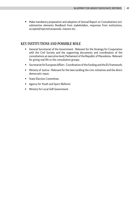Make mandatory preparation and adoption of Annual Report on Consultations incl. substantive elements (feedback from stakeholders, responses from institutions, accepted/rejected proposals, reasons etc.

## KEY INSTITUTIONS AND POSSIBLE ROLE

- General Secretariat of the Government Relevant for the Strategy for Cooperation with the Civil Society and the supporting documents and coordination of the consultations at executive level; Parliament of the Republic of Macedonia - Relevant for giving real life to the consultative groups;
- Secretariat for European Affairs Coordination of the funding and the EU framework;
- Ministry of Justice Relevant for the laws tackling the civic initiatives and the direct democratic input;
- **State Election Committee.**
- **Agency for Youth and Sport (Reform)**
- **Ministry for Local Self-Government**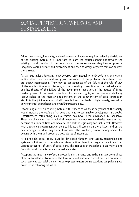# SOCIAL PROTECTION, WELFARE, AND SUSTAINABILITY

Addressing poverty, inequality, and environmental challenges requires reviewing the failures of the existing system. It is important to learn the causal connections between the existing overall policies of the country and the consequences they have on poverty, inequality, overall welfare and environment and then to design a system that can address these issues.

Partial strategies addressing only poverty, only inequality, only pollution, only ethnic and/or other issues are addressing just one aspect of the problem, while these issues are clearly intersectional. They may be consequences of the failure of the rule of law, of the non-functioning institutions, of the prevailing corruption, of the bad education and healthcare, of the failure of the government regulation, of the abuses of firms' market power, of the weak protection of consumer rights, of the low and declining labour rights, of the regressive tax system, of the stingy system of social protection etc. It is the joint operation of all these failures that leads to high poverty, inequality, environmental degradation and overall unsustainability.

Establishing a well-functioning system with respect to all these segments of the society would increase the welfare of citizens and lead to sustainable development, no doubt. Unfortunately, establishing such a system has never been envisioned in Macedonia. These are challenges that a technical government cannot solve within its mandate, both because of a lack of time and because of a lack of legitimacy for such a task. However, what a technical government can do is to initiate a discussion on these issues and on the best strategy for addressing them. It can assess the problems, review the approaches for dealing with them and propose a possible set of measures.

As a principle, social policy must be developed through long lasting, sustainable and systemic solutions, not through short- term action plans that target a select few from various categories of users of social care. The Republic of Macedonia must maintain its Constitutional character as a social welfare state.

Accepting the importance of social protection instruments, and in the aim to prevent abuse of social transfers distributed in the form of social services to exert pressure on users of social services i.e. social transfers used to pressure users during elections campaigning, we propose the following activities: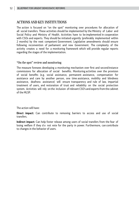## ACTIONS AND KEY INSTITUTIONS

The action is focused on "on the spot" monitoring over procedures for allocation of all social transfers. These activities should be implemented by the Ministry of Labor and Social Policy and Ministry of Health. Activities have to be implemented in cooperation with CSOs and experts. They should be initiated urgently (preferably implemented within 2 months) by the next competent Government. Legislative amendments should ensure following reconvention of parliament and new Government. The complexity of the activity creates a need for a monitoring framework which will provide regular reports regarding the stages of the implementation.

#### "On the spot" review and monitoring

The measure foresees developing a monitoring mechanism over first and second instance commissions for allocation of social benefits. Monitoring activities over the provision of social benefits (e.g. social assistance, permanent assistance, compensation for assistance and care by another person, one time assistance, mobility and blindness assistance, deafness assistance) will ensure transparency and rule of law, impartial treatment of users, and restoration of trust and reliability on the social protection system. Activities will rely on the inclusion of relevant CSO's and experts from the cabinet of the MLSP.

The action will have:

**Direct impact:** Can contribute to removing barriers to access and use of social transfers.

**Indirect impact:** Can help foster release among users of social transfers from the fear of losing welfare if they d o not vote for the party in power. Furthermore, can contribute to changes in the behavior of users.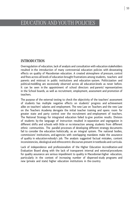# EDUCATION AND YOUTH POLICIES

#### INTRODUCTION

Overregulation of education, lack of analysis and consultation with education stakeholders resulted in the introduction of many controversial education policies with devastating effects on quality of Macedonian education. A created atmosphere of pressure, control and fines across all levels of education brought frustrations among students, teachers and parents and mistrust in public institutions and education system. Politicization and political meddling are excessively observed across all education levels as never before. It can be seen in the appointment of school directors and parents' representatives in the School boards, as well as recruitment, employment, assessment and promotion of teachers.

The purpose of the external testing to check the objectivity of the teachers' assessment of students has multiple negative effects on students' progress and achievement alike on teachers' salaries and employment. The new Law on Teachers and the new Law on the Teachers Academy derogate the initial teacher training and opens room for greater state and party control over the recruitment and employment of teachers. The National Strategy for integrated education failed to give positive results. Division of students by the language of instruction resulted in separation and segregation in different shifts and schools with little or no interaction among students from different ethnic communities. The parallel processes of developing different strategy documents fail to consider the education holistically, as an integral system. The national bodies, commissions' institutions, and agencies with overlapping mandates make the assurance of quality in education nobody's job. The analysis suggested factual mistakes, content inconsistencies, ideological and ethnocentric discourses present in textbooks and curricula.

Lack of independence and professionalism of the Higher Education Accreditation and Evaluation Board along with the lack of transparent internal and external procedures for quality assurance are serious impediment to quality in Macedonian higher education, particularly in the context of increasing number of dispersed study programs and new (private and state) higher education institutions in the country.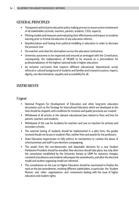# GENERAL PRINCIPLES

- **Transparent and inclusive education policy making process to ensure active involvement** of all stakeholders (schools, teachers, parents, students. CSOs, experts);
- **Piloting models and measures and evaluating their effectiveness and impact on students** learning prior to frontal introduction of any education reforms;
- Depoliticization and freeing from political meddling in education in order to decrease the pressure over
- the teachers and relax the atmosphere across the education institutions;
- University autonomy to be respected and ensured as envisaged with the Constitution, consequently, the independence of HEAEB to be ensured as a precondition for professionalization of the highest national body in higher education;
- An inclusive curriculum that respects different educational, dispositional, social, ethnical or cultural background of students and families and is based on justice, respect, dignity, non-discrimination, equality and accessibility for all.

# INSTRUMENTS

#### Urgent

- National Program for Development of Education and other long-term education documents such as the Strategy for Intercultural Education which are developed at the time should be stopped, until conditions for inclusive and quality processes are created;
- Withdrawal of all articles in the relevant educational laws related to fines and fees for parents, teachers, and students;
- Withdrawal of the Law for Academy for teachers and Law on teachers for primary and secondary schools;
- The external testing of students should be implemented in a pilot form, the grades received should not be put in student's files, neither fines and awards for the professors;
- State Education Inspectorate to fully enforce its mechanisms to combat the abuse of school premises and staff in pre-elections campaigning;
- The results from the non-democratic and disputable elections for a new Student Parliament President should be annulled. New elections should take place, but only after the commission established by the University Senate at UKIM for statutory changes, consisted of professors and students will prepare the amendments, and after the electoral model and student organizing model are reformed.
- The consultations on the Law on Higher Education should be reactivated to finalize the work on the law amendments, involving different stakeholders, in particular the Student Plenum and other organizations and movements dealing with the issue of higher education and student rights;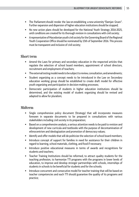- The Parliament should revoke the law on establishing a new university "Damjan Gruev". Further expansion and dispersion of higher education institutions should be stopped;
- No new action plans should be developed for the National Youth Strategy 2016-2025, until conditions are created for its thorough revision in consultations with civil society;
- A representative of Macedonian youth civil society for the Governing Board of the Regional Youth Cooperation Office should be nominated by 15th of September 2016. This process must be transparent and inclusive of civil society;

#### Short term

- Amend the Laws for primary and secondary education in the respected articles that regulate the selection of school board members, appointment of school directors, recruitment and employment of teachers;
- The external testing model needs to be subject to review, consultation, and amendments;
- Student organizing as a concept needs to be introduced in the Law on Secondary education working group should be established to create draft model for effective youth organizing and participation in decision-making processes;
- Democratic participation of students in higher education institutions should be determined, and the existing model of student organizing should be revised and adapted to allow for pluralism;

## Midterm

- **Single comprehensive policy document (Strategy) that will incorporate measures** foreseen in separate documents to be prepared in consultations with various stakeholders including civil society in its preparation;
- Based on a comprehensive analysis, a serious attention needs to be paid to revision and development of new curricula and textbooks with the purpose of decontamination of ethnocentrism and ideologization and promotion of democracy values;
- If dentify and offer models that will de-politicize the selection of school board members;
- Introduce concept of support for families in need for assistance for their children in regard to learning, school materials, clothing, and food if necessary;
- Introduce positive educational measures in terms of awards and recognitions for students and teachers;
- Teacher Training Institutions should be reformed, to attract quality students for the teaching profession, to harmonize TTI programs with the programs in lower levels of education, to improve and develop stronger partnerships with schools, internships of students in schools to be beneficial for students and for the schools;
- Introduce concurrent and consecutive model for teacher training that will be based on teacher competencies and each TTI should guarantee the quality of its programs and practice;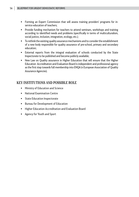- Forming an Expert Commission that will assess training providers' programs for inservice education of teachers;
- **Provide funding mechanism for teachers to attend seminars, workshops and training** according to identified needs and problems (specifically in terms of multiculturalism, social justice, inclusion, integration, ecology, etc.);
- To rethink the existing quality assurance mechanisms and to consider the establishment of a new body responsible for quality assurance of pre-school, primary and secondary education;
- External reports from the integral evaluation of schools conducted by the State Inspectorate to be published and become publicly available;
- New Law on Quality assurance in Higher Education that will ensure that the Higher Education Accreditation and Evaluation Board is independent and professional agency as the first step towards full membership into ENQA (n European Association of Quality Assurance Agencies).

# KEY INSTITUTIONS AND POSSIBLE ROLE

- **Ministry of Education and Science**
- National Examination Centre
- **State Education Inspectorate**
- **Bureau for Development of Education**
- **Higher Education Accreditation and Evaluation Board**
- Agency for Youth and Sport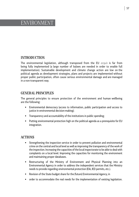# ENVIRONMENT

# INTRODUCTION

The environmental legislation, although transposed from the EU acquis is far from being fully implemented (a large number of bylaws are needed in order to enable full implementation). Sustainable development and climate change action are low on the political agenda as development strategies, plans and projects are implemented without proper public participation, often cause serious environmental damage and are managed in a non-transparent way.

# GENERAL PRINCIPLES

The general principles to ensure protection of the environment and human wellbeing are the following:

- Environmental democracy (access to information, public participation and access to justice in environmental decision-making);
- Transparency and accountability of the institutions in public spending;
- Putting environmental protection high on the political agenda as a prerequisite for EU integration.

# ACTIONS

- Strengthening the inspection service in order to prevent pollution and environmental crime on the central and local level as well as improving the transparency of the work of the inspection. Increasing the capacities of the local inspectorate to be able to deal with complaints on a local level. Improving the capacities for monitoring the environment and maintaining proper databases.
- Restructuring of the Ministry of Environment and Physical Planning into an Environmental Agency in order to address the independent services that the Ministry needs to provide regarding environmental protection (EIA, IED permits, etc.).
- Revision of the State budget share for the (future) Environmental Agency, in
- order to accommodate the real needs for the implementation of existing legislation.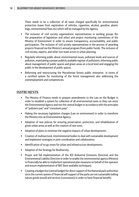There needs to be a collection of all taxes charged specifically for environmental protection (taxes from registration of vehicles, cigarettes, alcohol, gasoline, plastic bags, environmental fines etc) which will be managed by the Agency.

- The inclusion of civil society organizations representatives in working groups (for the preparation of legislation and other) and project monitoring committees of the Ministry of Environment in order to ensure transparency, accountability, and public participation. The inclusion of civil society representatives in the process of awarding projects financed via the Ministry's annual program (from public funds). The inclusion of civil society, experts, and other non-state actors in urban planning.
- **Regularly informing public about environmental issues, pollutant levels and sources of** pollution, maintaining a proper publicly available register of pollutants. Informing public about management of public spaces and green areas on a local level and engaging the public in the development of public spaces.
- **•** Reforming and restructuring the Macedonian forests public enterprise in terms of a certified system for monitoring of the forest management also addressing the overemployment and competencies.

## INSTRUMENTS

- The Ministry of Finance needs to prepare amendments to the Law on the Budget in order to establish a system for collection of all environmental taxes so they can enter the Environmental Agency and not the central budget in accordance with the principles of "polluters pay" and "consumers pays".
- Making the necessary legislation changes (Law on environment) in order to transform the Ministry into an Environmental Agency.
- Adoption of new policies for ensuring preservation, protection, and rehabilitation of green urban areas as well as the creation of new ones.
- Adoption of plans to minimize the negative impacts of urban developments.
- Creation of multisectoral, interministerial bodies to deal with sustainable development and implement strategies in joint coordination and collaboration.
- Identification of no-go zones for urban and infrastructure developments.
- **Adoption of the Strategy for Biodiversity.**
- Proper and full implementation of the IED (Industrial Emissions Directive) and the Environmental Liability Directive in order to enable the environmental agency (Ministry) to financially be able to implement operational plan measures on behalf of the operator and ensure implementation of BAT (best available techniques).
- Creating a budget line (central budget) for direct support of the National park authorities since the current system of financial self-support of the parks are not sustainable (selling nature goods (wood) and services (concessions) in order to have financial benefit).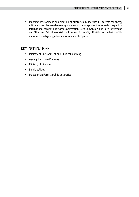Planning development and creation of strategies in line with EU targets for energy efficiency, use of renewable energy sources and climate protection, as well as respecting international conventions (Aarhus Convention, Bern Convention, and Paris Agreement) and EU acquis. Adoption of strict policies on biodiversity offsetting as the last possible measure for mitigating adverse environmental impacts.

# KEY INSTITUTIONS

- **Ministry of Environment and Physical planning**
- **Agency for Urban Planning**
- **Ministry of Finance**
- **•** Municipalities
- **Macedonian Forests public enterprise**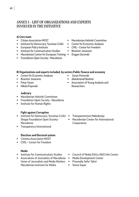# ANNEX 1 – LIST OF ORGANIZATIONS AND EXPERTS INVOLVED IN THE INITIATIVE

#### **A) Core team**

- Citizen Association MOST
- **Institute for Democracy 'Societas Civilis'**
- **European Policy Institute**
- **Institute for Communication Studies**
- **Macedonian Center for European Training**
- **F** Foundation Open Society Macedonia
- Macedonian Helsinki Committee
- Center for Economic Analyses
- CIVIL Center for Freedom
- $Bianimir$  *Iovanovic*

 Goran Petrevski Abdulmenaf Bexheti

Researchers

Dragan Gocevski

#### **B) Organizations and experts included, by sectors Public finance and economy**

- **EXECOTE:** Center for Economic Analyses
- **Branimir Jovanovic**
- **Petar Gosev**
- Nikola Popovski

#### **Judiciary**

- Macedonian Helsinki Committee
- **Foundation Open Society Macedonia**
- **Institute for Human Rights**

#### **Fight against Corruption**

- **Institute for Democracy 'Societas Civilis'** Skopje Foundation Open Society - Macedonia
- **Transparency International**

#### **Elections and Electoral system**

- Citizens Association MOST
- CIVIL Center for Freedom

#### **Media**

- **Institute for Communication Studies**
- **Association of Journalists of Macedonia** Union of Journalists and Media Workers Macedonian Institute for Media

Transparentnost Makedonija

Association of Young Analysts and

**Macedonian Center for International** Cooperation

- Council of Media Ethics NGO Info Center
- Media Development Center
- Promedia Sefer Tahiri
- **•** Vesna Sopar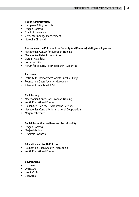#### **Public Administration**

- **European Policy Institute**
- **Dragan Gocevski**
- **Branimir Jovanovic**
- Center for Change Management
- Metodija Dimovski

#### **Control over the Police and the Security And (Counter)Intelligence Agencies**

- **Macedonian Center for European Training**
- Macedonian Helsinki Committee
- Gordan Kalajdziev
- **Forum CSRD**
- **Forum for Security Policy Research Securitas**

#### **Parliament**

- **EXECT:** Institute for Democracy 'Societas Civilis' Skopje
- **Foundation Open Society Macedonia**
- Citizens Association MOST

#### **Civil Society**

- **Macedonian Center for European Training**
- Youth Educational Forum
- **Balkan Civil Society Development Network**
- Macedonian Centre for International Cooperation
- **Marjan Zabrcanec**

#### **Social Protection, Welfare, and Sustainability**

- **-** Dragan Gocevski
- **-** Marian Nikolov
- **Branimir Jovanovic**

#### **Education and Youth Policies**

- **Foundation Open Society Macedonia**
- Youth Educational Forum

#### **Environment**

- **Eko Svest**
- OhridSOS
- $\blacksquare$  Front 21/42
- **EkoGerila**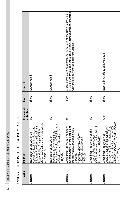| <b>CEALLY EVALUATES FORCE A GEOCACIONAL</b> |
|---------------------------------------------|
|                                             |
|                                             |
|                                             |
|                                             |
|                                             |
|                                             |
|                                             |
|                                             |
|                                             |
|                                             |
|                                             |
| !                                           |
|                                             |
| $\frac{1}{1}$                               |
|                                             |
|                                             |
|                                             |
|                                             |

| <b>AREA</b> | <b>MEASURE</b>                                                                                                                                                                                                                 | Responsible<br>nstitution | Term  | Content                                                                                                                                                                                               |
|-------------|--------------------------------------------------------------------------------------------------------------------------------------------------------------------------------------------------------------------------------|---------------------------|-------|-------------------------------------------------------------------------------------------------------------------------------------------------------------------------------------------------------|
| Judiciary   | Responsibility of Judges (Official<br>Gazette of the Republic of Macedonia<br>re on Establishing<br>Council for Establishing Facts and<br>Initiating Procedure on Establishin<br>Revocation of the Law on the<br>no. 20/2015); | Ξ                         | Short | Law is revoked                                                                                                                                                                                        |
|             | Deciding and Determining the<br>Duration of Penalty (Official Gazette<br>of the Republic of Macedonia no.<br>199/2014);<br>Revocation of the Law on                                                                            | Ξ                         | Short | Law is revoked                                                                                                                                                                                        |
| Judiciary   | Amendments to the Law on Courts<br> Official Gazette of the Republic of<br> Macedonia no. 58/2006, 62/2006,<br> 35/2008, 118/2008, 16/2009,<br> 61/2008, 118/2008, 16/2009,<br> 150/2009, 150/2010 and<br> 39/2012)            | Ξ                         | Short | A specialized court department to be formed at the Basic Court Skopje<br>- Skopje, which would be entitled to persecute criminal offenes connected<br>with and arising from the illegal wire-tapping; |
| Judiciary   | Special Public Prosecution<br>(Official Gazette of the Republic of<br>Macedonia no. 159/2015).<br>he Law on the<br>Amendments to tl                                                                                            | Ξ                         | Short |                                                                                                                                                                                                       |
| Judiciary   | Macedonia, (Official Gazette of the<br>Republic of Macedonia no. 60/2006,<br>69/2006, 150/2010, 100/2011, 20/2015<br>Amendments to the Law on<br>Judicial Council of the Republic of<br>and 61/2015);                          | ARM                       | Short | Especially Article 11 and Article 26                                                                                                                                                                  |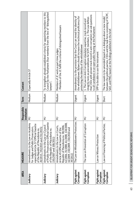| <b>AREA</b>                 | <b>MEASURE</b>                                                                                                                                                                                                          | Responsible<br>institution | Term   | Content                                                                                                                                                                                                                                                                                   |
|-----------------------------|-------------------------------------------------------------------------------------------------------------------------------------------------------------------------------------------------------------------------|----------------------------|--------|-------------------------------------------------------------------------------------------------------------------------------------------------------------------------------------------------------------------------------------------------------------------------------------------|
| Judiciary                   | e Law on Academy<br>57 (Official Gazette<br>for Judges and Public Prosecutors,<br>especially Article 57 (Official Gazette<br>of the Republic of Macedonia no.<br>  20/2015, 192/2015 and 231/2015);<br>Amendments to th | Ξ                          | Medium | Especially Article 57                                                                                                                                                                                                                                                                     |
| Judiciary                   | Amendments to the Law on Council<br>of Public Prosecutors (Official Gazette<br>of the Republic of Macedonia no.<br>150/2007 and 100/2011)                                                                               | Ξ                          | Medium | To strengthen already established criteria for appointing members to this<br>Council by the Parliament (four members) from the line of "distinguished<br>lawyers";                                                                                                                        |
| Judiciary                   | Republic of Macedonia no. 58/2006,<br>62/2006, 35/2008, 61/2008, 118/2008,<br>16/2009, 150/2009, 150/2010 and<br>39/2012).<br>Amendments to the Law on Courts,<br>Article 45 (Official Gazette of the                   | Ξ                          | Medium | Members of JC work as part-time judges<br>- Members of the JC fulfill the criteria of distinguished lawyers                                                                                                                                                                               |
| Fight against<br>Corruption | eblowers Protection;   MJ<br>The Law on Whistl                                                                                                                                                                          |                            | Urgent | Amendments to the provision that the Court can reveal the identity of<br>the whistleblower; Bylaws should increase the technical proficiency for<br>protecting the identity of the whistleblower                                                                                          |
| Fight against<br>Corruption | The Law on Prevention of Corruption                                                                                                                                                                                     | Ξ                          | Urgent | that CSOs with proven track record in anti-corruption can ask questions<br>integrity tests as preconditions for SCPC members. 2. The Law defines<br>1. The Law on Anti-Corruption stipulates expertise, track record and<br>to all candidates in an open public hearing at the Parliament |
| Fight against<br>Corruption | Law on Witness Protection                                                                                                                                                                                               | Ξ                          | Urgent | SPP to be able to use the instrument                                                                                                                                                                                                                                                      |
| Fight against<br>Corruption | of Political Parties;<br>Law on Financing                                                                                                                                                                               | Ξ                          | Short  | between the political parties, CSOs and the task force consisting of SCPC,<br>The law needs to be amended based on a dialogue about a new model<br>SAO, and PRO, based on the findings published in the brief.                                                                            |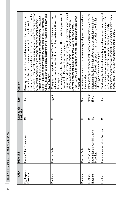BLUEPRINT FOR URGENT DEMOCRATIC REFORMS 64 | BLUEPRINT FOR URGENT DEMOCRATIC REFORMS

| <b>AREA</b>                 | <b>MEASURE</b>                             | Responsible<br>institution | Term   | Content                                                                                                                                                                                                                                                                                                                                                                                                                                                                                                                                                                                                                          |
|-----------------------------|--------------------------------------------|----------------------------|--------|----------------------------------------------------------------------------------------------------------------------------------------------------------------------------------------------------------------------------------------------------------------------------------------------------------------------------------------------------------------------------------------------------------------------------------------------------------------------------------------------------------------------------------------------------------------------------------------------------------------------------------|
| Fight against<br>Corruption | Law on Public Procurement;                 | φ                          | Short  | companies; Reconsider the rule on using lowest price as the only criterion<br>Council; Revision and amendment of the so-called negative reference for<br>which, in addition to the price, determine the procurement's quality and<br>criteria with the new EU directive where "economically most favorable<br>Revoking the provisions for the establishment and the mandate of the<br>Council for Public Procurement and dismissal of the members of the<br>bid" is stipulated as priority criterion, comprised of several elements<br>for contract-awarding as a step towards aligning contract-awarding<br>cost-effectiveness. |
| Elections                   | Election Code                              | Ξ                          | Urgent | " Transferring all the competencies in regards to implementation - includ-<br>Appointing a Secretary General (Executive Director) of the professional<br>administration and 2 members from the ruling parties and the opposi-<br>The MECs should be involved in the process of cleaning and creat the<br>"Changing the composition of the MECs and EBs: 1 member from the<br>ing the compilation of the Voters List - to the professional service<br>and making them not subject to approval/voting by the members.<br>service by the Parliament with 2/3 majority;<br>tion respectively.<br>Voters List                         |
| Elections                   | Election Code                              | Ξ                          | Short  | Amendments related to the out-of-country voting and the regulation of<br>the campaign                                                                                                                                                                                                                                                                                                                                                                                                                                                                                                                                            |
| Elections                   | Election Code                              | Ξ                          | Medium | Introducing open list variant of the proportional representation system                                                                                                                                                                                                                                                                                                                                                                                                                                                                                                                                                          |
| Elections                   | Law on General Administrative<br>Procedure | Ξ                          | Short  | <b>Shortening the deadlines for delivering the decision for annulling the</b><br>residence, for submitting an appeal against a decision, as well as for<br>adopting decision upon the appeal.                                                                                                                                                                                                                                                                                                                                                                                                                                    |
| Elections                   | Law on Administrative Disputes             | Ξ                          | Short  | Shortening the deadlines for initiating an administrative dispute against<br>Introducing deadlines for issuing verdict upon a lawsuit, submitting an<br>a decision upon an appeal against the decision for annulment of resi-<br>dence, as well as for delivering a response from the sued party.<br>appeal against the verdict and deciding upon the appeal                                                                                                                                                                                                                                                                     |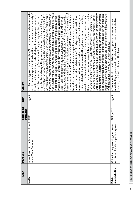| $\frac{1}{1}$<br>i<br>こくこうこく こうしょうしょう<br>i |
|--------------------------------------------|
| こここに                                       |
|                                            |

| <b>AREA</b>              | <b>MEASURE</b>                                                                   | Responsible<br>nstitution | Term   | Content                                                                                                                                                                                                                                                                                                                                                                                                                                                                                                                                                                                                                                                                                                                                                                                                                                                                                                                                                                                                                                                                                                                                                                                                                                                                                                                                                                                                                                                                                                                                                                                                                                                                                                                                                                                                                                                                                                                                                                                                                                                                                                                                                                      |
|--------------------------|----------------------------------------------------------------------------------|---------------------------|--------|------------------------------------------------------------------------------------------------------------------------------------------------------------------------------------------------------------------------------------------------------------------------------------------------------------------------------------------------------------------------------------------------------------------------------------------------------------------------------------------------------------------------------------------------------------------------------------------------------------------------------------------------------------------------------------------------------------------------------------------------------------------------------------------------------------------------------------------------------------------------------------------------------------------------------------------------------------------------------------------------------------------------------------------------------------------------------------------------------------------------------------------------------------------------------------------------------------------------------------------------------------------------------------------------------------------------------------------------------------------------------------------------------------------------------------------------------------------------------------------------------------------------------------------------------------------------------------------------------------------------------------------------------------------------------------------------------------------------------------------------------------------------------------------------------------------------------------------------------------------------------------------------------------------------------------------------------------------------------------------------------------------------------------------------------------------------------------------------------------------------------------------------------------------------------|
| Media                    | he Law on Audio and<br>Amendments to the L<br>Audio-Visual Services              | MISA                      | Urgent | ■ Ban any type of 'state advertising' in the commercial electronic media<br>and to determine precisely the definition of the notion 'public campaigns'.<br>Reduce the sanctions for certain violations of the Law, as well as to reduce<br>long-term sustainability and institutional autonomy; Change the mode of<br>the regulatory body (the Agency on Audio and Audiovisual Media Services)<br>of the Law on Audio and Audiovisual Media Services) in the administrative<br>misdemeanor procedures and impose fines for hate speech for broadcast-<br>procedure; the regulatory bodies in all European countries can undertake<br>electoral period. Advertising should be allowed free-of-charge on the PBS<br>In addition, the conditions under which public campaigns can be aired on<br>on equal terms for all political actors. Change the decision-making struc-<br>as well as the financial sanctions for not complying with these provisions;<br>the annual fee for broadcasters up to 50%. Provide for sanctioning 'hate<br>ing such a content. Such provisions are in compliance with the Article 10<br>ture and the manner of nomination and appointment of the members of<br>ty-political advertising in the private media, both outside and during the<br>speech' or incitement of violence in the audiovisual programs (Article 48<br>appointment of the MRT editors in chief - MRT's Program Council should<br>Program Council of MRT in order to depoliticize this body, to profession-<br>visions related to the funds from the Budget aimed for such production,<br>society; Amend the funding framework of the MRT in order to secure its<br>umentary and feature production for the national TV broadcasters, pro-<br>Abolish the provisions related to the 'cultural quotas' for domestic doc-<br>in order to depoliticize it; Change the composition and capacity of the<br>the Public Broadcasting Service have to be precisely specified;Ban par-<br>alize it and to strengthen the interconnection of the PBS with the civil<br>be authorized to appoint them upon a public competition procedure;<br>of the European Convention on Human Rights. |
| Administration<br>Public | Guidelines on preventing mechanisms<br>for party purposes;<br>of misuse of state | GRM; ACTF                 | Urgent | of related legal provisions from relevant laws - Law on administrative<br>-Guidelines should contain detailed description on implementation<br>servants, Electoral Code, and other laws;                                                                                                                                                                                                                                                                                                                                                                                                                                                                                                                                                                                                                                                                                                                                                                                                                                                                                                                                                                                                                                                                                                                                                                                                                                                                                                                                                                                                                                                                                                                                                                                                                                                                                                                                                                                                                                                                                                                                                                                     |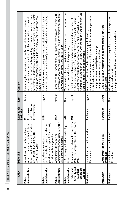BLUEPRINT FOR URGENT DEMOCRATIC REFORMS 66 | BLUEPRINT FOR URGENT DEMOCRATIC REFORMS

| <b>AREA</b>                                                         | <b>MEASURE</b>                                                                                                                                                             | Responsible<br>institution                          | Term   | Content                                                                                                                                                                                                                                                                                                                                                                                            |
|---------------------------------------------------------------------|----------------------------------------------------------------------------------------------------------------------------------------------------------------------------|-----------------------------------------------------|--------|----------------------------------------------------------------------------------------------------------------------------------------------------------------------------------------------------------------------------------------------------------------------------------------------------------------------------------------------------------------------------------------------------|
| Administration<br>Public                                            | Gazette of the Republic of Macedonia<br>no. 13/2006, 86/2008, 6/2010,<br>42/2014, 148/2015<br>Access to Public Information (Official<br>ne Law on Free<br>Amendments to th | on Free Access<br>to Information<br>Commission<br>Ξ | Medium | for disclosure/declassification of information categorized as "internal" for<br>comply with the law, as well as providing the Commission competences<br>the purpose of protecting the public interest as defined under the new<br>misdemeanour sanctions to holders of public information that do not<br>Mandating the Commission for Free Access to Information to issue<br>Law on Whistleblowers |
| Administration<br>Public                                            | prohibition of party<br>Administrative Servants strengthening<br>activities and during elections<br>Amendments to the Law on<br>penalties related to                       | MISA                                                | Urgent | servants related to prohibition of party activities and during elections;<br>Introduce more severe penal provisions, specifically on administrative                                                                                                                                                                                                                                                |
| Administration<br>Public                                            | Administrative Servants reforming the<br>ne Law on<br>disciplinary commissions<br>Amendments to th                                                                         | MISA                                                | Medium | - Changes to the format of the disciplinary commissions - currently the<br>commissions have too many members (6) - should be brought back to three<br>and award greater competence to HR units.                                                                                                                                                                                                    |
| Administration<br>Public                                            | lelines on issuing<br>Soft-law - e.g. guid<br>fines                                                                                                                        | <b>GRM</b>                                          | Short  | To ensure that administrative fines (misdemeanors) are the last resort; put<br>focus on prevention instead of repression;                                                                                                                                                                                                                                                                          |
| Security and<br>(Counter)<br>Intelligence<br>Police and<br>Agencies | Lex special for External Control of the<br>Police or incorporation in the Law on<br>Police.                                                                                | MOI, MJ                                             | Urgent | Council of Europe and the MOI expert working group working on this task<br>CSOs, academia, public prosecution offices, and retired police officers -<br>all of them on equal footing, with equal duties and responsibilities. The<br>The future external oversight mechanism should include members of<br>should be supported and accelerated                                                      |
| Parliament                                                          | e Law on the<br>Amendments to th<br>Parliament                                                                                                                             | Parliament                                          | Urgent | - Add provisions on accountability of officials for not showing upon an<br>- Article 21 to allow 10 MPs to schedule a public hearing;<br>- Add provisions on investigative hearings;<br>Add provisions on inquiry committees.<br>invitation from the Parliament                                                                                                                                    |
| Parliament                                                          | e Rules of<br>Amendments to th<br>Procedure                                                                                                                                | Parliament                                          | Urgent | - Add provisions on registration and accreditation of external<br>stakeholders.                                                                                                                                                                                                                                                                                                                    |
| Parliament                                                          | e Rules of<br>Amendments to th<br>Procedure                                                                                                                                | Parliament                                          | Short  | - Introduce public hearings at the beginning of the legislative process<br>Add provisions on Parliamentary Channel and web-site.<br>(legislative hearings)                                                                                                                                                                                                                                         |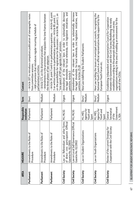| <b>AREA</b>   | <b>MEASURE</b>                                                                                                 | Responsible<br>institution                               | Term             | Content                                                                                                                                                                                                                                                                                                       |
|---------------|----------------------------------------------------------------------------------------------------------------|----------------------------------------------------------|------------------|---------------------------------------------------------------------------------------------------------------------------------------------------------------------------------------------------------------------------------------------------------------------------------------------------------------|
| Parliament    | Amendments to the Rules of<br>Procedure                                                                        | Parliament                                               | Short            | - Article 107 to introduce compulsory publication of stenographic notes<br>- Add a provision that introduces regular recurring schedule of<br>from committee sessions:<br>parliamentary activities.                                                                                                           |
| Parliament    | Amendments to the Rules of<br>Procedure                                                                        | Parliament                                               | Medium           | - Amendments to the provisions that stipulate the time-frames between<br>– Article 171, on the shortened procedure;<br>the three phases of law adoption.                                                                                                                                                      |
| Parliament    | Amendments to the Rules of<br>Procedure                                                                        | Parliament                                               | Medium           | - Article 39, point 5 and 6 on parliamentary questions; - Article 42, point<br>on the possibilities for registration for discussion;- Article 86, point 1, on<br>3 on written responses to parliamentary questions;- Article 80, point 2,<br>"one speech of MP per agenda item" provision.                    |
| Civil Society | Law on Referendum and other forms  MJ, MLSG<br>of direct civic participation (Official<br>Gazette No. 81/2005) |                                                          | Urgent           | Amendment of the relevant laws in order to substantially decrease<br>the legal thresholds for local referenda, civic legislative initiatives, and<br>petitions. Article 3                                                                                                                                     |
| Civil Society | Law on Local Self-Governance (Official<br>Gazette No. 02/2002                                                  | MJ, MLSG                                                 | Urgent           | Amendment of the relevant laws in order to substantially decrease<br>the legal thresholds for local referenda, civic legislative initiatives, and<br>petitions. Articles 25-28                                                                                                                                |
| Civil Society | ganizations<br>Law on Student Or                                                                               | Agency for<br>Youth and<br>MJ, MES,<br>Sport             | Medium<br>Short/ | New Law redefining the Student Parliaments                                                                                                                                                                                                                                                                    |
| Civil Society | Law on Youth Organizations                                                                                     | Agency for<br>Youth and<br>MJ, MES,<br>Sport             | Medium<br>Short/ | New Law tackling the issues on municipal youth councils, recognizing the<br>National Youth Council as official representative body supported by the<br>European Youth Forum etc.                                                                                                                              |
| Civil Society | the Civil Society<br>ent Strategy for<br>Review of the curr<br>Cooperation with                                | Government<br>Secretariat<br>General<br>of the<br>t, SEA | Urgent           | Establishing independent and representative Council for Cooperation<br>organizations working in the area of enabling an environment for the<br>between the Government and the Civil Society (Redefining the newly<br>established according to the proposals drafted by the civil society<br>work of the CSOs) |